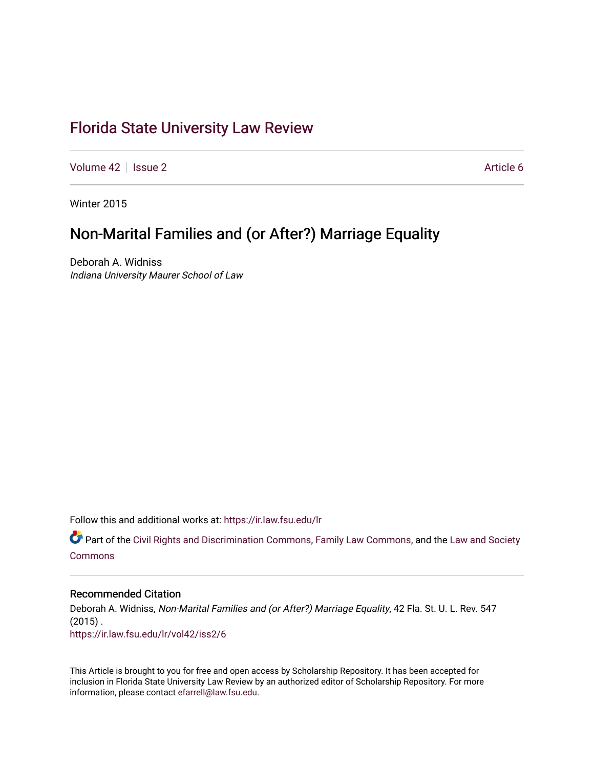## [Florida State University Law Review](https://ir.law.fsu.edu/lr)

[Volume 42](https://ir.law.fsu.edu/lr/vol42) | [Issue 2](https://ir.law.fsu.edu/lr/vol42/iss2) Article 6

Winter 2015

# Non-Marital Families and (or After?) Marriage Equality

Deborah A. Widniss Indiana University Maurer School of Law

Follow this and additional works at: [https://ir.law.fsu.edu/lr](https://ir.law.fsu.edu/lr?utm_source=ir.law.fsu.edu%2Flr%2Fvol42%2Fiss2%2F6&utm_medium=PDF&utm_campaign=PDFCoverPages) 

Part of the [Civil Rights and Discrimination Commons,](https://network.bepress.com/hgg/discipline/585?utm_source=ir.law.fsu.edu%2Flr%2Fvol42%2Fiss2%2F6&utm_medium=PDF&utm_campaign=PDFCoverPages) [Family Law Commons,](https://network.bepress.com/hgg/discipline/602?utm_source=ir.law.fsu.edu%2Flr%2Fvol42%2Fiss2%2F6&utm_medium=PDF&utm_campaign=PDFCoverPages) and the [Law and Society](https://network.bepress.com/hgg/discipline/853?utm_source=ir.law.fsu.edu%2Flr%2Fvol42%2Fiss2%2F6&utm_medium=PDF&utm_campaign=PDFCoverPages) [Commons](https://network.bepress.com/hgg/discipline/853?utm_source=ir.law.fsu.edu%2Flr%2Fvol42%2Fiss2%2F6&utm_medium=PDF&utm_campaign=PDFCoverPages)

### Recommended Citation

Deborah A. Widniss, Non-Marital Families and (or After?) Marriage Equality, 42 Fla. St. U. L. Rev. 547  $(2015)$ . [https://ir.law.fsu.edu/lr/vol42/iss2/6](https://ir.law.fsu.edu/lr/vol42/iss2/6?utm_source=ir.law.fsu.edu%2Flr%2Fvol42%2Fiss2%2F6&utm_medium=PDF&utm_campaign=PDFCoverPages)

This Article is brought to you for free and open access by Scholarship Repository. It has been accepted for inclusion in Florida State University Law Review by an authorized editor of Scholarship Repository. For more information, please contact [efarrell@law.fsu.edu](mailto:efarrell@law.fsu.edu).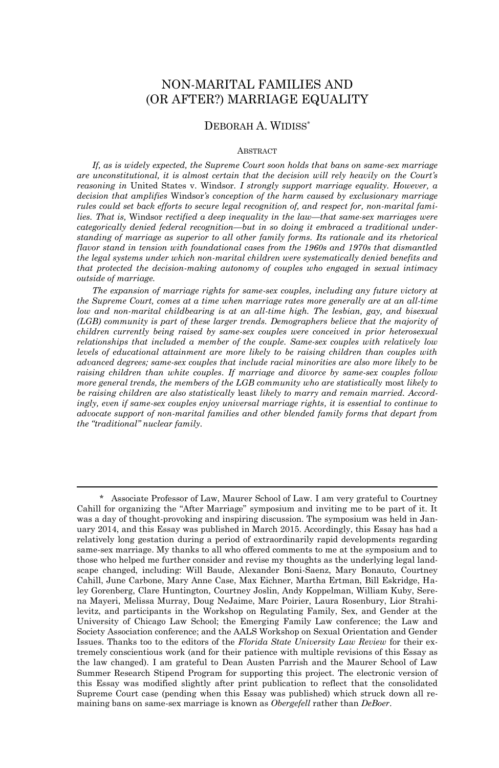### NON-MARITAL FAMILIES AND (OR AFTER?) MARRIAGE EQUALITY

#### DEBORAH A. WIDISS\*

#### ABSTRACT

*If, as is widely expected, the Supreme Court soon holds that bans on same-sex marriage are unconstitutional, it is almost certain that the decision will rely heavily on the Court's reasoning in* United States v. Windsor*. I strongly support marriage equality. However, a decision that amplifies* Windsor*'s conception of the harm caused by exclusionary marriage rules could set back efforts to secure legal recognition of, and respect for, non-marital families. That is,* Windsor *rectified a deep inequality in the law—that same-sex marriages were categorically denied federal recognition—but in so doing it embraced a traditional understanding of marriage as superior to all other family forms. Its rationale and its rhetorical flavor stand in tension with foundational cases from the 1960s and 1970s that dismantled the legal systems under which non-marital children were systematically denied benefits and that protected the decision-making autonomy of couples who engaged in sexual intimacy outside of marriage.* 

*The expansion of marriage rights for same-sex couples, including any future victory at the Supreme Court, comes at a time when marriage rates more generally are at an all-time low and non-marital childbearing is at an all-time high. The lesbian, gay, and bisexual (LGB) community is part of these larger trends. Demographers believe that the majority of children currently being raised by same-sex couples were conceived in prior heterosexual relationships that included a member of the couple. Same-sex couples with relatively low levels of educational attainment are more likely to be raising children than couples with advanced degrees; same-sex couples that include racial minorities are also more likely to be raising children than white couples. If marriage and divorce by same-sex couples follow more general trends, the members of the LGB community who are statistically* most *likely to be raising children are also statistically* least *likely to marry and remain married. Accordingly, even if same-sex couples enjoy universal marriage rights, it is essential to continue to advocate support of non-marital families and other blended family forms that depart from the "traditional" nuclear family.*

 <sup>\*</sup> Associate Professor of Law, Maurer School of Law. I am very grateful to Courtney Cahill for organizing the "After Marriage" symposium and inviting me to be part of it. It was a day of thought-provoking and inspiring discussion. The symposium was held in January 2014, and this Essay was published in March 2015. Accordingly, this Essay has had a relatively long gestation during a period of extraordinarily rapid developments regarding same-sex marriage. My thanks to all who offered comments to me at the symposium and to those who helped me further consider and revise my thoughts as the underlying legal landscape changed, including: Will Baude, Alexander Boni-Saenz, Mary Bonauto, Courtney Cahill, June Carbone, Mary Anne Case, Max Eichner, Martha Ertman, Bill Eskridge, Haley Gorenberg, Clare Huntington, Courtney Joslin, Andy Koppelman, William Kuby, Serena Mayeri, Melissa Murray, Doug NeJaime, Marc Poirier, Laura Rosenbury, Lior Strahilevitz, and participants in the Workshop on Regulating Family, Sex, and Gender at the University of Chicago Law School; the Emerging Family Law conference; the Law and Society Association conference; and the AALS Workshop on Sexual Orientation and Gender Issues. Thanks too to the editors of the *Florida State University Law Review* for their extremely conscientious work (and for their patience with multiple revisions of this Essay as the law changed). I am grateful to Dean Austen Parrish and the Maurer School of Law Summer Research Stipend Program for supporting this project. The electronic version of this Essay was modified slightly after print publication to reflect that the consolidated Supreme Court case (pending when this Essay was published) which struck down all remaining bans on same-sex marriage is known as *Obergefell* rather than *DeBoer*.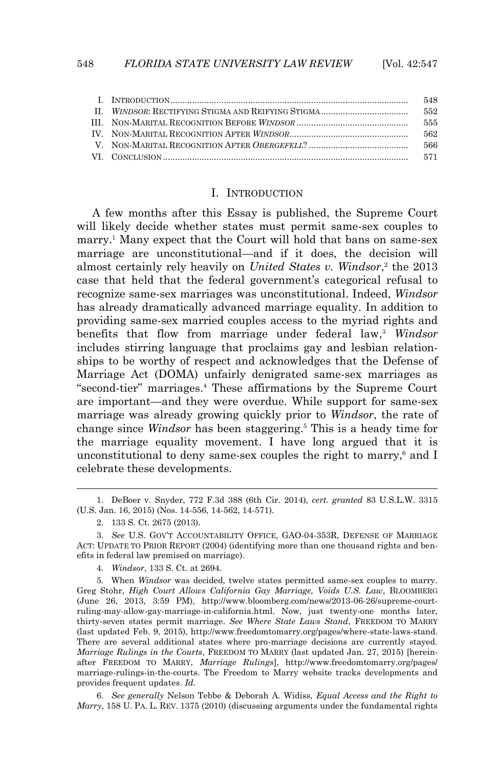|  | 548 |
|--|-----|
|  | 552 |
|  | 555 |
|  | 562 |
|  | 566 |
|  |     |

#### I. INTRODUCTION

 A few months after this Essay is published, the Supreme Court will likely decide whether states must permit same-sex couples to marry.<sup>1</sup> Many expect that the Court will hold that bans on same-sex marriage are unconstitutional—and if it does, the decision will almost certainly rely heavily on *United States v. Windsor*,<sup>2</sup> the 2013 case that held that the federal government's categorical refusal to recognize same-sex marriages was unconstitutional. Indeed, *Windsor*  has already dramatically advanced marriage equality. In addition to providing same-sex married couples access to the myriad rights and benefits that flow from marriage under federal law,<sup>3</sup> *Windsor* includes stirring language that proclaims gay and lesbian relationships to be worthy of respect and acknowledges that the Defense of Marriage Act (DOMA) unfairly denigrated same-sex marriages as "second-tier" marriages.<sup>4</sup> These affirmations by the Supreme Court are important—and they were overdue. While support for same-sex marriage was already growing quickly prior to *Windsor*, the rate of change since *Windsor* has been staggering.<sup>5</sup> This is a heady time for the marriage equality movement. I have long argued that it is unconstitutional to deny same-sex couples the right to marry, $6$  and I celebrate these developments.

<sup>1.</sup> DeBoer v. Snyder, 772 F.3d 388 (6th Cir. 2014), *cert. granted* 83 U.S.L.W. 3315 (U.S. Jan. 16, 2015) (Nos. 14-556, 14-562, 14-571).

<sup>2. 133</sup> S. Ct. 2675 (2013).

<sup>3.</sup> *See* U.S. GOV'T ACCOUNTABILITY OFFICE, GAO-04-353R, DEFENSE OF MARRIAGE ACT: UPDATE TO PRIOR REPORT (2004) (identifying more than one thousand rights and benefits in federal law premised on marriage).

<sup>4.</sup> *Windsor*, 133 S. Ct. at 2694.

<sup>5.</sup> When *Windsor* was decided, twelve states permitted same-sex couples to marry. Greg Stohr, *High Court Allows California Gay Marriage, Voids U.S. Law*, BLOOMBERG (June 26, 2013, 3:59 PM), http://www.bloomberg.com/news/2013-06-26/supreme-courtruling-may-allow-gay-marriage-in-california.html. Now, just twenty-one months later, thirty-seven states permit marriage. *See Where State Laws Stand*, FREEDOM TO MARRY (last updated Feb. 9, 2015), http://www.freedomtomarry.org/pages/where-state-laws-stand. There are several additional states where pro-marriage decisions are currently stayed. *Marriage Rulings in the Courts*, FREEDOM TO MARRY (last updated Jan. 27, 2015) [hereinafter FREEDOM TO MARRY, *Marriage Rulings*], http://www.freedomtomarry.org/pages/ marriage-rulings-in-the-courts. The Freedom to Marry website tracks developments and provides frequent updates. *Id.*

<sup>6.</sup> *See generally* Nelson Tebbe & Deborah A. Widiss, *Equal Access and the Right to Marry*, 158 U. PA. L. REV. 1375 (2010) (discussing arguments under the fundamental rights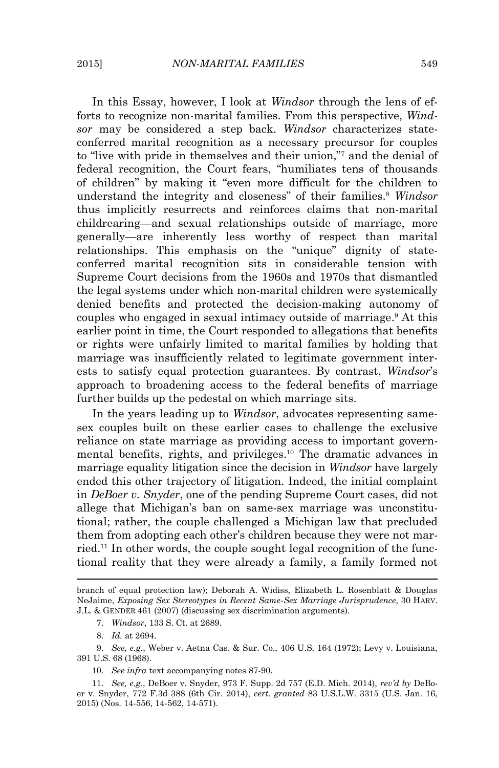In this Essay, however, I look at *Windsor* through the lens of efforts to recognize non-marital families. From this perspective, *Windsor* may be considered a step back. *Windsor* characterizes stateconferred marital recognition as a necessary precursor for couples to "live with pride in themselves and their union,"<sup>7</sup> and the denial of federal recognition, the Court fears, "humiliates tens of thousands of children" by making it "even more difficult for the children to understand the integrity and closeness" of their families.<sup>8</sup> *Windsor* thus implicitly resurrects and reinforces claims that non-marital childrearing—and sexual relationships outside of marriage, more generally—are inherently less worthy of respect than marital relationships. This emphasis on the "unique" dignity of stateconferred marital recognition sits in considerable tension with Supreme Court decisions from the 1960s and 1970s that dismantled the legal systems under which non-marital children were systemically denied benefits and protected the decision-making autonomy of couples who engaged in sexual intimacy outside of marriage.<sup>9</sup> At this earlier point in time, the Court responded to allegations that benefits or rights were unfairly limited to marital families by holding that marriage was insufficiently related to legitimate government interests to satisfy equal protection guarantees. By contrast, *Windsor*'s approach to broadening access to the federal benefits of marriage further builds up the pedestal on which marriage sits.

 In the years leading up to *Windsor*, advocates representing samesex couples built on these earlier cases to challenge the exclusive reliance on state marriage as providing access to important governmental benefits, rights, and privileges.10 The dramatic advances in marriage equality litigation since the decision in *Windsor* have largely ended this other trajectory of litigation. Indeed, the initial complaint in *DeBoer v. Snyder*, one of the pending Supreme Court cases, did not allege that Michigan's ban on same-sex marriage was unconstitutional; rather, the couple challenged a Michigan law that precluded them from adopting each other's children because they were not married.<sup>11</sup> In other words, the couple sought legal recognition of the functional reality that they were already a family, a family formed not

branch of equal protection law); Deborah A. Widiss, Elizabeth L. Rosenblatt & Douglas NeJaime, *Exposing Sex Stereotypes in Recent Same-Sex Marriage Jurisprudence*, 30 HARV. J.L. & GENDER 461 (2007) (discussing sex discrimination arguments).

<sup>7.</sup> *Windsor*, 133 S. Ct. at 2689.

<sup>8.</sup> *Id.* at 2694.

<sup>9.</sup> *See, e.g.*, Weber v. Aetna Cas. & Sur. Co., 406 U.S. 164 (1972); Levy v. Louisiana, 391 U.S. 68 (1968).

<sup>10.</sup> *See infra* text accompanying notes 87-90.

<sup>11.</sup> *See, e.g.*, DeBoer v. Snyder, 973 F. Supp. 2d 757 (E.D. Mich. 2014), *rev'd by* DeBoer v. Snyder, 772 F.3d 388 (6th Cir. 2014), *cert. granted* 83 U.S.L.W. 3315 (U.S. Jan. 16, 2015) (Nos. 14-556, 14-562, 14-571).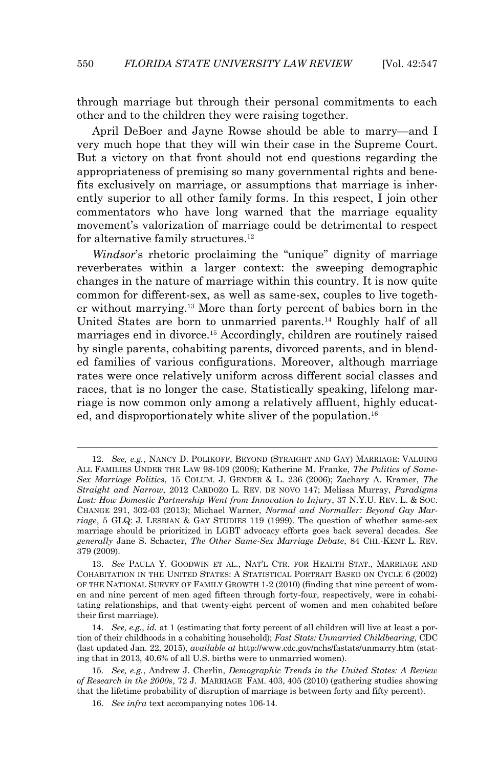through marriage but through their personal commitments to each other and to the children they were raising together.

 April DeBoer and Jayne Rowse should be able to marry—and I very much hope that they will win their case in the Supreme Court. But a victory on that front should not end questions regarding the appropriateness of premising so many governmental rights and benefits exclusively on marriage, or assumptions that marriage is inherently superior to all other family forms. In this respect, I join other commentators who have long warned that the marriage equality movement's valorization of marriage could be detrimental to respect for alternative family structures.<sup>12</sup>

 *Windsor*'s rhetoric proclaiming the "unique" dignity of marriage reverberates within a larger context: the sweeping demographic changes in the nature of marriage within this country. It is now quite common for different-sex, as well as same-sex, couples to live together without marrying.13 More than forty percent of babies born in the United States are born to unmarried parents.14 Roughly half of all marriages end in divorce.15 Accordingly, children are routinely raised by single parents, cohabiting parents, divorced parents, and in blended families of various configurations. Moreover, although marriage rates were once relatively uniform across different social classes and races, that is no longer the case. Statistically speaking, lifelong marriage is now common only among a relatively affluent, highly educated, and disproportionately white sliver of the population.<sup>16</sup>

<sup>12.</sup> *See, e.g.*, NANCY D. POLIKOFF, BEYOND (STRAIGHT AND GAY) MARRIAGE: VALUING ALL FAMILIES UNDER THE LAW 98-109 (2008); Katherine M. Franke, *The Politics of Same-Sex Marriage Politics*, 15 COLUM. J. GENDER & L. 236 (2006); Zachary A. Kramer, *The Straight and Narrow*, 2012 CARDOZO L. REV. DE NOVO 147; Melissa Murray, *Paradigms Lost: How Domestic Partnership Went from Innovation to Injury*, 37 N.Y.U. REV. L. & SOC. CHANGE 291, 302-03 (2013); Michael Warner, *Normal and Normaller: Beyond Gay Marriage*, 5 GLQ: J. LESBIAN & GAY STUDIES 119 (1999). The question of whether same-sex marriage should be prioritized in LGBT advocacy efforts goes back several decades. *See generally* Jane S. Schacter, *The Other Same-Sex Marriage Debate*, 84 CHI.-KENT L. REV. 379 (2009).

<sup>13.</sup> *See* PAULA Y. GOODWIN ET AL., NAT'L CTR. FOR HEALTH STAT., MARRIAGE AND COHABITATION IN THE UNITED STATES: A STATISTICAL PORTRAIT BASED ON CYCLE 6 (2002) OF THE NATIONAL SURVEY OF FAMILY GROWTH 1-2 (2010) (finding that nine percent of women and nine percent of men aged fifteen through forty-four, respectively, were in cohabitating relationships, and that twenty-eight percent of women and men cohabited before their first marriage).

<sup>14.</sup> *See, e.g.*, *id.* at 1 (estimating that forty percent of all children will live at least a portion of their childhoods in a cohabiting household); *Fast Stats: Unmarried Childbearing*, CDC (last updated Jan. 22, 2015), *available at* http://www.cdc.gov/nchs/fastats/unmarry.htm (stating that in 2013, 40.6% of all U.S. births were to unmarried women).

<sup>15.</sup> *See, e.g.*, Andrew J. Cherlin, *Demographic Trends in the United States: A Review of Research in the 2000s*, 72 J. MARRIAGE FAM. 403, 405 (2010) (gathering studies showing that the lifetime probability of disruption of marriage is between forty and fifty percent).

<sup>16.</sup> *See infra* text accompanying notes 106-14.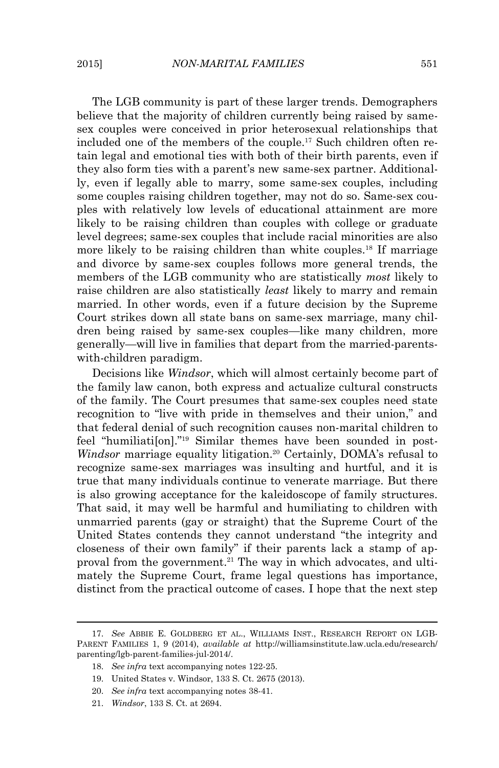The LGB community is part of these larger trends. Demographers believe that the majority of children currently being raised by samesex couples were conceived in prior heterosexual relationships that included one of the members of the couple.17 Such children often retain legal and emotional ties with both of their birth parents, even if they also form ties with a parent's new same-sex partner. Additionally, even if legally able to marry, some same-sex couples, including some couples raising children together, may not do so. Same-sex couples with relatively low levels of educational attainment are more likely to be raising children than couples with college or graduate level degrees; same-sex couples that include racial minorities are also more likely to be raising children than white couples.<sup>18</sup> If marriage and divorce by same-sex couples follows more general trends, the members of the LGB community who are statistically *most* likely to raise children are also statistically *least* likely to marry and remain married. In other words, even if a future decision by the Supreme Court strikes down all state bans on same-sex marriage, many children being raised by same-sex couples—like many children, more generally—will live in families that depart from the married-parentswith-children paradigm.

 Decisions like *Windsor*, which will almost certainly become part of the family law canon, both express and actualize cultural constructs of the family. The Court presumes that same-sex couples need state recognition to "live with pride in themselves and their union," and that federal denial of such recognition causes non-marital children to feel "humiliati[on]." 19 Similar themes have been sounded in post-*Windsor* marriage equality litigation.<sup>20</sup> Certainly, DOMA's refusal to recognize same-sex marriages was insulting and hurtful, and it is true that many individuals continue to venerate marriage. But there is also growing acceptance for the kaleidoscope of family structures. That said, it may well be harmful and humiliating to children with unmarried parents (gay or straight) that the Supreme Court of the United States contends they cannot understand "the integrity and closeness of their own family" if their parents lack a stamp of approval from the government.<sup>21</sup> The way in which advocates, and ultimately the Supreme Court, frame legal questions has importance, distinct from the practical outcome of cases. I hope that the next step

<sup>17.</sup> *See* ABBIE E. GOLDBERG ET AL., WILLIAMS INST., RESEARCH REPORT ON LGB-PARENT FAMILIES 1, 9 (2014), *available at* http://williamsinstitute.law.ucla.edu/research/ parenting/lgb-parent-families-jul-2014/.

<sup>18.</sup> *See infra* text accompanying notes 122-25.

<sup>19.</sup> United States v. Windsor, 133 S. Ct. 2675 (2013).

<sup>20.</sup> *See infra* text accompanying notes 38-41.

<sup>21.</sup> *Windsor*, 133 S. Ct. at 2694.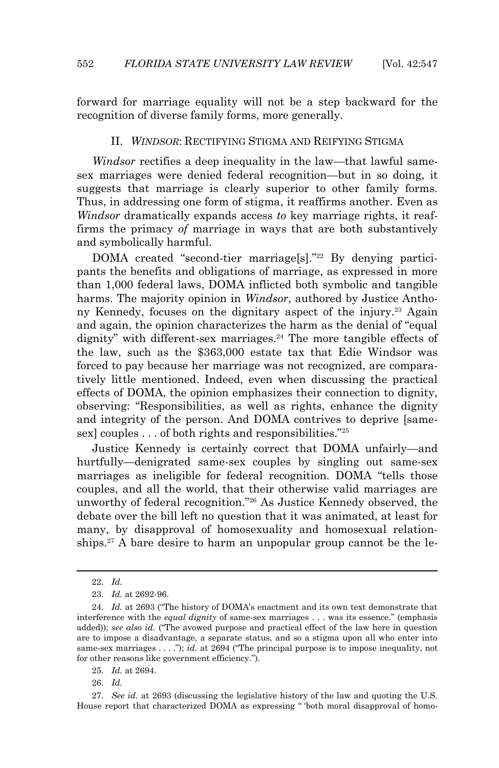forward for marriage equality will not be a step backward for the recognition of diverse family forms, more generally.

#### II. *WINDSOR*: RECTIFYING STIGMA AND REIFYING STIGMA

 *Windsor* rectifies a deep inequality in the law—that lawful samesex marriages were denied federal recognition—but in so doing, it suggests that marriage is clearly superior to other family forms. Thus, in addressing one form of stigma, it reaffirms another. Even as *Windsor* dramatically expands access *to* key marriage rights, it reaffirms the primacy *of* marriage in ways that are both substantively and symbolically harmful.

DOMA created "second-tier marriage<sup>[s]</sup>."<sup>22</sup> By denying participants the benefits and obligations of marriage, as expressed in more than 1,000 federal laws, DOMA inflicted both symbolic and tangible harms. The majority opinion in *Windsor*, authored by Justice Anthony Kennedy, focuses on the dignitary aspect of the injury.<sup>23</sup> Again and again, the opinion characterizes the harm as the denial of "equal dignity" with different-sex marriages.<sup>24</sup> The more tangible effects of the law, such as the \$363,000 estate tax that Edie Windsor was forced to pay because her marriage was not recognized, are comparatively little mentioned. Indeed, even when discussing the practical effects of DOMA, the opinion emphasizes their connection to dignity, observing: "Responsibilities, as well as rights, enhance the dignity and integrity of the person. And DOMA contrives to deprive [samesex] couples . . . of both rights and responsibilities."<sup>25</sup>

 Justice Kennedy is certainly correct that DOMA unfairly—and hurtfully—denigrated same-sex couples by singling out same-sex marriages as ineligible for federal recognition. DOMA "tells those couples, and all the world, that their otherwise valid marriages are unworthy of federal recognition."26 As Justice Kennedy observed, the debate over the bill left no question that it was animated, at least for many, by disapproval of homosexuality and homosexual relationships.<sup>27</sup> A bare desire to harm an unpopular group cannot be the le-

<sup>22.</sup> *Id.*

<sup>23.</sup> *Id.* at 2692-96.

<sup>24.</sup> *Id.* at 2693 ("The history of DOMA's enactment and its own text demonstrate that interference with the *equal dignity* of same-sex marriages . . . was its essence." (emphasis added)); *see also id.* ("The avowed purpose and practical effect of the law here in question are to impose a disadvantage, a separate status, and so a stigma upon all who enter into same-sex marriages . . . ."); *id.* at 2694 ("The principal purpose is to impose inequality, not for other reasons like government efficiency.").

<sup>25.</sup> *Id.* at 2694.

<sup>26.</sup> *Id.*

<sup>27.</sup> *See id.* at 2693 (discussing the legislative history of the law and quoting the U.S. House report that characterized DOMA as expressing " 'both moral disapproval of homo-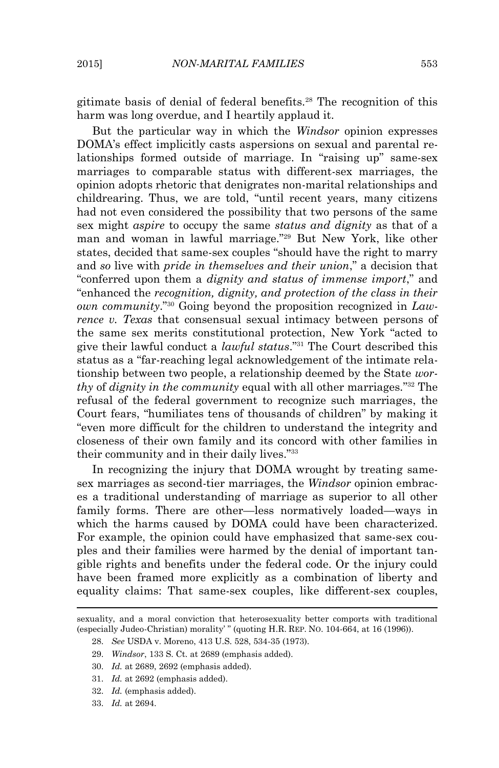gitimate basis of denial of federal benefits.28 The recognition of this harm was long overdue, and I heartily applaud it.

 But the particular way in which the *Windsor* opinion expresses DOMA's effect implicitly casts aspersions on sexual and parental relationships formed outside of marriage. In "raising up" same-sex marriages to comparable status with different-sex marriages, the opinion adopts rhetoric that denigrates non-marital relationships and childrearing. Thus, we are told, "until recent years, many citizens had not even considered the possibility that two persons of the same sex might *aspire* to occupy the same *status and dignity* as that of a man and woman in lawful marriage."29 But New York, like other states, decided that same-sex couples "should have the right to marry and *so* live with *pride in themselves and their union*," a decision that "conferred upon them a *dignity and status of immense import*," and "enhanced the *recognition, dignity, and protection of the class in their own community*."30 Going beyond the proposition recognized in *Lawrence v. Texas* that consensual sexual intimacy between persons of the same sex merits constitutional protection, New York "acted to give their lawful conduct a *lawful status*." <sup>31</sup> The Court described this status as a "far-reaching legal acknowledgement of the intimate relationship between two people, a relationship deemed by the State *worthy* of *dignity in the community* equal with all other marriages*.*" <sup>32</sup> The refusal of the federal government to recognize such marriages, the Court fears, "humiliates tens of thousands of children" by making it "even more difficult for the children to understand the integrity and closeness of their own family and its concord with other families in their community and in their daily lives."<sup>33</sup>

 In recognizing the injury that DOMA wrought by treating samesex marriages as second-tier marriages, the *Windsor* opinion embraces a traditional understanding of marriage as superior to all other family forms. There are other—less normatively loaded—ways in which the harms caused by DOMA could have been characterized. For example, the opinion could have emphasized that same-sex couples and their families were harmed by the denial of important tangible rights and benefits under the federal code. Or the injury could have been framed more explicitly as a combination of liberty and equality claims: That same-sex couples, like different-sex couples,

sexuality, and a moral conviction that heterosexuality better comports with traditional (especially Judeo-Christian) morality' " (quoting H.R. REP. NO. 104-664, at 16 (1996)).

<sup>28.</sup> *See* USDA v. Moreno, 413 U.S. 528, 534-35 (1973).

<sup>29.</sup> *Windsor*, 133 S. Ct. at 2689 (emphasis added).

<sup>30.</sup> *Id.* at 2689, 2692 (emphasis added).

<sup>31.</sup> *Id.* at 2692 (emphasis added).

<sup>32.</sup> *Id.* (emphasis added).

<sup>33.</sup> *Id.* at 2694.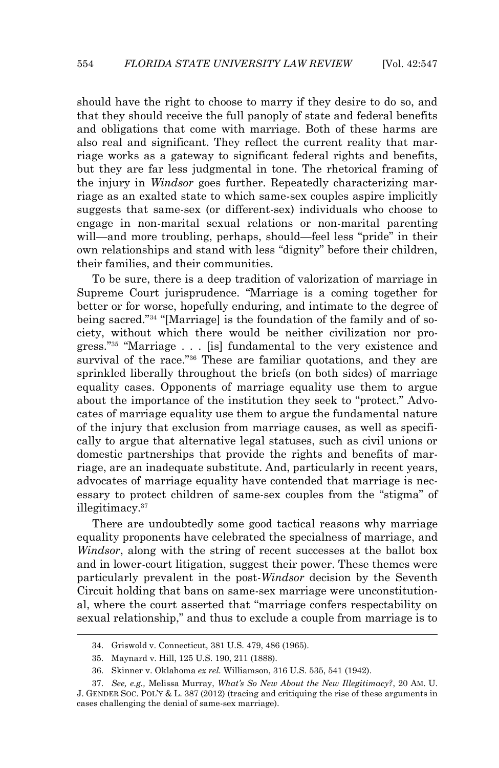should have the right to choose to marry if they desire to do so, and that they should receive the full panoply of state and federal benefits and obligations that come with marriage. Both of these harms are also real and significant. They reflect the current reality that marriage works as a gateway to significant federal rights and benefits, but they are far less judgmental in tone. The rhetorical framing of the injury in *Windsor* goes further. Repeatedly characterizing marriage as an exalted state to which same-sex couples aspire implicitly suggests that same-sex (or different-sex) individuals who choose to engage in non-marital sexual relations or non-marital parenting will—and more troubling, perhaps, should—feel less "pride" in their own relationships and stand with less "dignity" before their children, their families, and their communities.

 To be sure, there is a deep tradition of valorization of marriage in Supreme Court jurisprudence. "Marriage is a coming together for better or for worse, hopefully enduring, and intimate to the degree of being sacred."<sup>34</sup> "[Marriage] is the foundation of the family and of society, without which there would be neither civilization nor progress." <sup>35</sup> "Marriage . . . [is] fundamental to the very existence and survival of the race."<sup>36</sup> These are familiar quotations, and they are sprinkled liberally throughout the briefs (on both sides) of marriage equality cases. Opponents of marriage equality use them to argue about the importance of the institution they seek to "protect." Advocates of marriage equality use them to argue the fundamental nature of the injury that exclusion from marriage causes, as well as specifically to argue that alternative legal statuses, such as civil unions or domestic partnerships that provide the rights and benefits of marriage, are an inadequate substitute. And, particularly in recent years, advocates of marriage equality have contended that marriage is necessary to protect children of same-sex couples from the "stigma" of illegitimacy.<sup>37</sup>

 There are undoubtedly some good tactical reasons why marriage equality proponents have celebrated the specialness of marriage, and *Windsor*, along with the string of recent successes at the ballot box and in lower-court litigation, suggest their power. These themes were particularly prevalent in the post*-Windsor* decision by the Seventh Circuit holding that bans on same-sex marriage were unconstitutional, where the court asserted that "marriage confers respectability on sexual relationship," and thus to exclude a couple from marriage is to

<sup>34.</sup> Griswold v. Connecticut, 381 U.S. 479, 486 (1965).

<sup>35.</sup> Maynard v. Hill, 125 U.S. 190, 211 (1888).

<sup>36.</sup> Skinner v. Oklahoma *ex rel.* Williamson, 316 U.S. 535, 541 (1942).

<sup>37.</sup> *See, e.g.,* Melissa Murray, *What's So New About the New Illegitimacy?*, 20 AM. U. J. GENDER SOC. POL'Y & L. 387 (2012) (tracing and critiquing the rise of these arguments in cases challenging the denial of same-sex marriage).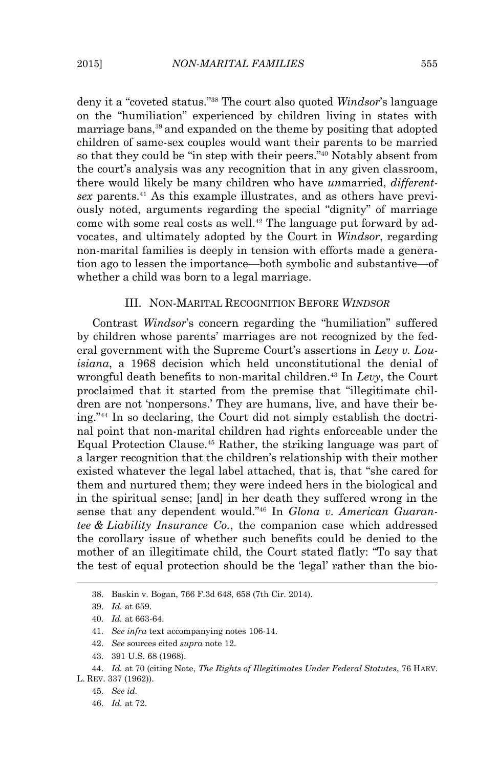deny it a "coveted status." <sup>38</sup> The court also quoted *Windsor*'s language on the "humiliation" experienced by children living in states with marriage bans,<sup>39</sup> and expanded on the theme by positing that adopted children of same-sex couples would want their parents to be married so that they could be "in step with their peers." <sup>40</sup> Notably absent from the court's analysis was any recognition that in any given classroom, there would likely be many children who have *un*married, *differentsex* parents.41 As this example illustrates, and as others have previously noted, arguments regarding the special "dignity" of marriage come with some real costs as well.<sup>42</sup> The language put forward by advocates, and ultimately adopted by the Court in *Windsor*, regarding non-marital families is deeply in tension with efforts made a generation ago to lessen the importance—both symbolic and substantive—of whether a child was born to a legal marriage.

#### III. NON-MARITAL RECOGNITION BEFORE *WINDSOR*

 Contrast *Windsor*'s concern regarding the "humiliation" suffered by children whose parents' marriages are not recognized by the federal government with the Supreme Court's assertions in *Levy v. Louisiana*, a 1968 decision which held unconstitutional the denial of wrongful death benefits to non-marital children.<sup>43</sup> In *Levy*, the Court proclaimed that it started from the premise that "illegitimate children are not 'nonpersons.' They are humans, live, and have their being."44 In so declaring, the Court did not simply establish the doctrinal point that non-marital children had rights enforceable under the Equal Protection Clause.45 Rather, the striking language was part of a larger recognition that the children's relationship with their mother existed whatever the legal label attached, that is, that "she cared for them and nurtured them; they were indeed hers in the biological and in the spiritual sense; [and] in her death they suffered wrong in the sense that any dependent would."<sup>46</sup> In *Glona v. American Guarantee & Liability Insurance Co.*, the companion case which addressed the corollary issue of whether such benefits could be denied to the mother of an illegitimate child, the Court stated flatly: "To say that the test of equal protection should be the 'legal' rather than the bio-

<sup>38.</sup> Baskin v. Bogan, 766 F.3d 648, 658 (7th Cir. 2014).

<sup>39.</sup> *Id.* at 659.

<sup>40.</sup> *Id.* at 663-64.

<sup>41.</sup> *See infra* text accompanying notes 106-14.

<sup>42.</sup> *See* sources cited *supra* note 12.

<sup>43. 391</sup> U.S. 68 (1968).

<sup>44.</sup> *Id.* at 70 (citing Note, *The Rights of Illegitimates Under Federal Statutes*, 76 HARV.

L. REV. 337 (1962)).

<sup>45.</sup> *See id.* 

<sup>46.</sup> *Id.* at 72.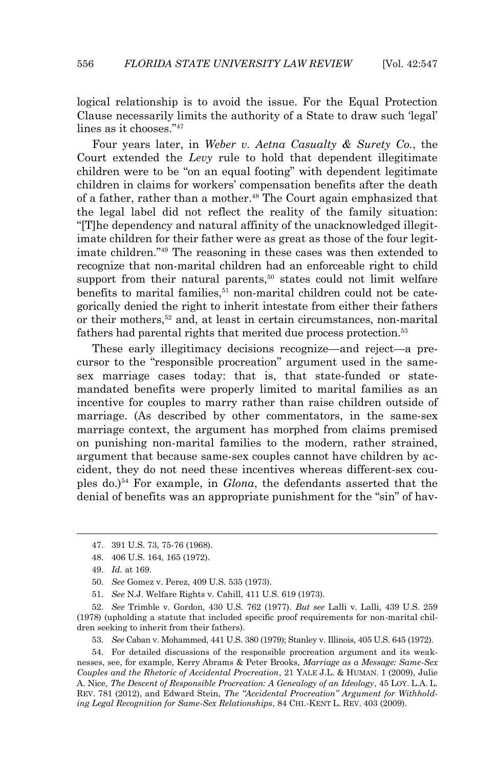logical relationship is to avoid the issue. For the Equal Protection Clause necessarily limits the authority of a State to draw such 'legal' lines as it chooses."<sup>47</sup>

 Four years later, in *Weber v. Aetna Casualty & Surety Co.*, the Court extended the *Levy* rule to hold that dependent illegitimate children were to be "on an equal footing" with dependent legitimate children in claims for workers' compensation benefits after the death of a father, rather than a mother.<sup>48</sup> The Court again emphasized that the legal label did not reflect the reality of the family situation: "[T]he dependency and natural affinity of the unacknowledged illegitimate children for their father were as great as those of the four legitimate children."49 The reasoning in these cases was then extended to recognize that non-marital children had an enforceable right to child support from their natural parents, $50$  states could not limit welfare benefits to marital families, $51$  non-marital children could not be categorically denied the right to inherit intestate from either their fathers or their mothers,<sup>52</sup> and, at least in certain circumstances, non-marital fathers had parental rights that merited due process protection.<sup>53</sup>

 These early illegitimacy decisions recognize—and reject—a precursor to the "responsible procreation" argument used in the samesex marriage cases today: that is, that state-funded or statemandated benefits were properly limited to marital families as an incentive for couples to marry rather than raise children outside of marriage. (As described by other commentators, in the same-sex marriage context, the argument has morphed from claims premised on punishing non-marital families to the modern, rather strained, argument that because same-sex couples cannot have children by accident, they do not need these incentives whereas different-sex couples do.)54 For example, in *Glona*, the defendants asserted that the denial of benefits was an appropriate punishment for the "sin" of hav-

 $\overline{a}$ 

51. *See* N.J. Welfare Rights v. Cahill, 411 U.S. 619 (1973).

52. *See* Trimble v. Gordon, 430 U.S. 762 (1977). *But see* Lalli v. Lalli, 439 U.S. 259 (1978) (upholding a statute that included specific proof requirements for non-marital children seeking to inherit from their fathers).

53. *See* Caban v. Mohammed, 441 U.S. 380 (1979); Stanley v. Illinois, 405 U.S. 645 (1972).

54. For detailed discussions of the responsible procreation argument and its weaknesses, see, for example, Kerry Abrams & Peter Brooks, *Marriage as a Message: Same-Sex Couples and the Rhetoric of Accidental Procreation*, 21 YALE J.L. & HUMAN. 1 (2009), Julie A. Nice, *The Descent of Responsible Procreation: A Genealogy of an Ideology*, 45 LOY. L.A. L. REV. 781 (2012), and Edward Stein, *The "Accidental Procreation" Argument for Withholding Legal Recognition for Same-Sex Relationships*, 84 CHI.-KENT L. REV. 403 (2009).

<sup>47. 391</sup> U.S. 73, 75-76 (1968).

<sup>48. 406</sup> U.S. 164, 165 (1972).

<sup>49.</sup> *Id.* at 169.

<sup>50.</sup> *See* Gomez v. Perez, 409 U.S. 535 (1973).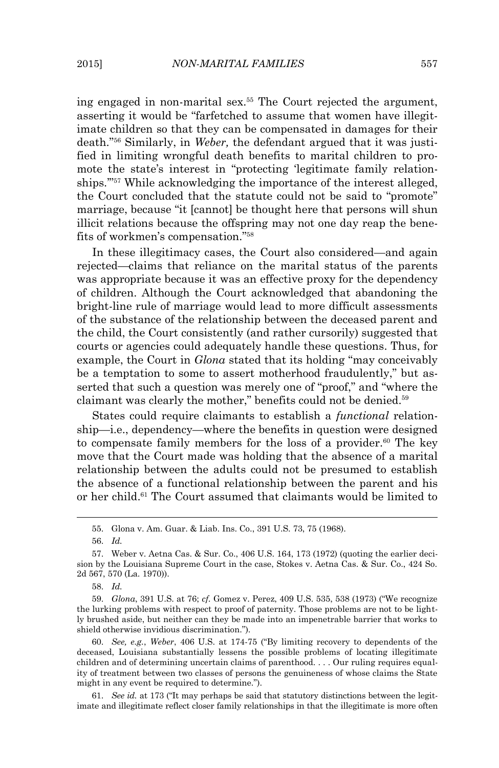ing engaged in non-marital sex.55 The Court rejected the argument, asserting it would be "farfetched to assume that women have illegitimate children so that they can be compensated in damages for their death."56 Similarly, in *Weber,* the defendant argued that it was justified in limiting wrongful death benefits to marital children to promote the state's interest in "protecting 'legitimate family relationships.'"57 While acknowledging the importance of the interest alleged, the Court concluded that the statute could not be said to "promote" marriage, because "it [cannot] be thought here that persons will shun illicit relations because the offspring may not one day reap the benefits of workmen's compensation."<sup>58</sup>

 In these illegitimacy cases, the Court also considered—and again rejected—claims that reliance on the marital status of the parents was appropriate because it was an effective proxy for the dependency of children. Although the Court acknowledged that abandoning the bright-line rule of marriage would lead to more difficult assessments of the substance of the relationship between the deceased parent and the child, the Court consistently (and rather cursorily) suggested that courts or agencies could adequately handle these questions. Thus, for example, the Court in *Glona* stated that its holding "may conceivably be a temptation to some to assert motherhood fraudulently," but asserted that such a question was merely one of "proof," and "where the claimant was clearly the mother," benefits could not be denied.<sup>59</sup>

States could require claimants to establish a *functional* relationship—i.e., dependency—where the benefits in question were designed to compensate family members for the loss of a provider.<sup>60</sup> The key move that the Court made was holding that the absence of a marital relationship between the adults could not be presumed to establish the absence of a functional relationship between the parent and his or her child.61 The Court assumed that claimants would be limited to

 $\overline{a}$ 

60. *See, e.g.*, *Weber*, 406 U.S. at 174-75 ("By limiting recovery to dependents of the deceased, Louisiana substantially lessens the possible problems of locating illegitimate children and of determining uncertain claims of parenthood. . . . Our ruling requires equality of treatment between two classes of persons the genuineness of whose claims the State might in any event be required to determine.").

61. *See id.* at 173 ("It may perhaps be said that statutory distinctions between the legitimate and illegitimate reflect closer family relationships in that the illegitimate is more often

<sup>55.</sup> Glona v. Am. Guar. & Liab. Ins. Co., 391 U.S. 73, 75 (1968).

<sup>56.</sup> *Id.* 

<sup>57.</sup> Weber v. Aetna Cas. & Sur. Co., 406 U.S. 164, 173 (1972) (quoting the earlier decision by the Louisiana Supreme Court in the case, Stokes v. Aetna Cas. & Sur. Co., 424 So. 2d 567, 570 (La. 1970)).

<sup>58.</sup> *Id.*

<sup>59.</sup> *Glona*, 391 U.S. at 76; *cf.* Gomez v. Perez, 409 U.S. 535, 538 (1973) ("We recognize the lurking problems with respect to proof of paternity. Those problems are not to be lightly brushed aside, but neither can they be made into an impenetrable barrier that works to shield otherwise invidious discrimination.").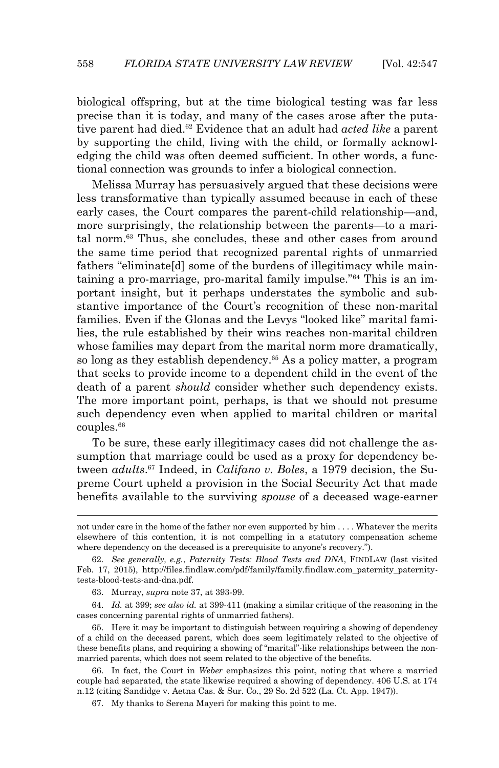biological offspring, but at the time biological testing was far less precise than it is today, and many of the cases arose after the putative parent had died.62 Evidence that an adult had *acted like* a parent by supporting the child, living with the child, or formally acknowledging the child was often deemed sufficient. In other words, a functional connection was grounds to infer a biological connection.

 Melissa Murray has persuasively argued that these decisions were less transformative than typically assumed because in each of these early cases, the Court compares the parent-child relationship—and, more surprisingly, the relationship between the parents—to a marital norm.63 Thus, she concludes, these and other cases from around the same time period that recognized parental rights of unmarried fathers "eliminate[d] some of the burdens of illegitimacy while maintaining a pro-marriage, pro-marital family impulse."64 This is an important insight, but it perhaps understates the symbolic and substantive importance of the Court's recognition of these non-marital families. Even if the Glonas and the Levys "looked like" marital families, the rule established by their wins reaches non-marital children whose families may depart from the marital norm more dramatically, so long as they establish dependency.<sup>65</sup> As a policy matter, a program that seeks to provide income to a dependent child in the event of the death of a parent *should* consider whether such dependency exists. The more important point, perhaps, is that we should not presume such dependency even when applied to marital children or marital couples.<sup>66</sup>

 To be sure, these early illegitimacy cases did not challenge the assumption that marriage could be used as a proxy for dependency between *adults*. <sup>67</sup> Indeed, in *Califano v. Boles*, a 1979 decision, the Supreme Court upheld a provision in the Social Security Act that made benefits available to the surviving *spouse* of a deceased wage-earner

64. *Id.* at 399; *see also id.* at 399-411 (making a similar critique of the reasoning in the cases concerning parental rights of unmarried fathers).

65. Here it may be important to distinguish between requiring a showing of dependency of a child on the deceased parent, which does seem legitimately related to the objective of these benefits plans, and requiring a showing of "marital"-like relationships between the nonmarried parents, which does not seem related to the objective of the benefits.

66. In fact, the Court in *Weber* emphasizes this point, noting that where a married couple had separated, the state likewise required a showing of dependency. 406 U.S. at 174 n.12 (citing Sandidge v. Aetna Cas. & Sur. Co., 29 So. 2d 522 (La. Ct. App. 1947)).

67. My thanks to Serena Mayeri for making this point to me.

not under care in the home of the father nor even supported by him . . . . Whatever the merits elsewhere of this contention, it is not compelling in a statutory compensation scheme where dependency on the deceased is a prerequisite to anyone's recovery.").

<sup>62.</sup> *See generally, e.g.*, *Paternity Tests: Blood Tests and DNA*, FINDLAW (last visited Feb. 17, 2015), http://files.findlaw.com/pdf/family/family.findlaw.com\_paternity\_paternitytests-blood-tests-and-dna.pdf.

<sup>63.</sup> Murray, *supra* note 37, at 393-99.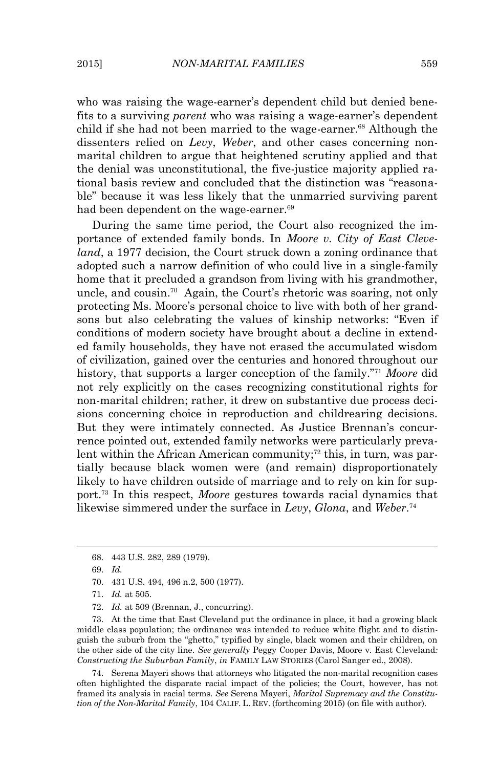who was raising the wage-earner's dependent child but denied benefits to a surviving *parent* who was raising a wage-earner's dependent child if she had not been married to the wage-earner.<sup>68</sup> Although the dissenters relied on *Levy*, *Weber*, and other cases concerning nonmarital children to argue that heightened scrutiny applied and that the denial was unconstitutional, the five-justice majority applied rational basis review and concluded that the distinction was "reasonable" because it was less likely that the unmarried surviving parent had been dependent on the wage-earner.<sup>69</sup>

 During the same time period, the Court also recognized the importance of extended family bonds. In *Moore v. City of East Cleveland*, a 1977 decision, the Court struck down a zoning ordinance that adopted such a narrow definition of who could live in a single-family home that it precluded a grandson from living with his grandmother, uncle, and cousin.<sup>70</sup> Again, the Court's rhetoric was soaring, not only protecting Ms. Moore's personal choice to live with both of her grandsons but also celebrating the values of kinship networks: "Even if conditions of modern society have brought about a decline in extended family households, they have not erased the accumulated wisdom of civilization, gained over the centuries and honored throughout our history, that supports a larger conception of the family."<sup>71</sup> *Moore* did not rely explicitly on the cases recognizing constitutional rights for non-marital children; rather, it drew on substantive due process decisions concerning choice in reproduction and childrearing decisions. But they were intimately connected. As Justice Brennan's concurrence pointed out, extended family networks were particularly prevalent within the African American community;<sup> $72$ </sup> this, in turn, was partially because black women were (and remain) disproportionately likely to have children outside of marriage and to rely on kin for support.73 In this respect, *Moore* gestures towards racial dynamics that likewise simmered under the surface in *Levy*, *Glona*, and *Weber*. 74

 $\overline{a}$ 

73. At the time that East Cleveland put the ordinance in place, it had a growing black middle class population; the ordinance was intended to reduce white flight and to distinguish the suburb from the "ghetto," typified by single, black women and their children, on the other side of the city line. *See generally* Peggy Cooper Davis, Moore v. East Cleveland*: Constructing the Suburban Family*, *in* FAMILY LAW STORIES (Carol Sanger ed., 2008).

74. Serena Mayeri shows that attorneys who litigated the non-marital recognition cases often highlighted the disparate racial impact of the policies; the Court, however, has not framed its analysis in racial terms. *See* Serena Mayeri, *Marital Supremacy and the Constitution of the Non-Marital Family*, 104 CALIF. L. REV. (forthcoming 2015) (on file with author).

<sup>68. 443</sup> U.S. 282, 289 (1979).

<sup>69.</sup> *Id.*

<sup>70. 431</sup> U.S. 494, 496 n.2, 500 (1977).

<sup>71.</sup> *Id.* at 505.

<sup>72.</sup> *Id.* at 509 (Brennan, J., concurring).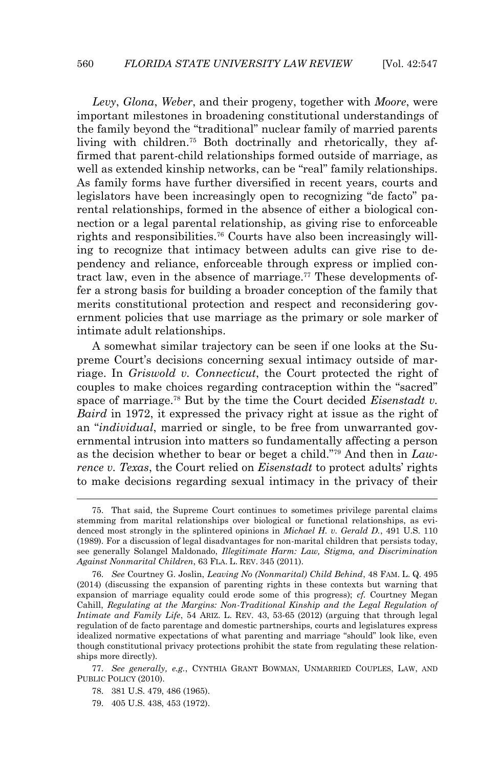*Levy*, *Glona*, *Weber*, and their progeny, together with *Moore*, were important milestones in broadening constitutional understandings of the family beyond the "traditional" nuclear family of married parents living with children.75 Both doctrinally and rhetorically, they affirmed that parent-child relationships formed outside of marriage, as well as extended kinship networks, can be "real" family relationships. As family forms have further diversified in recent years, courts and legislators have been increasingly open to recognizing "de facto" parental relationships, formed in the absence of either a biological connection or a legal parental relationship, as giving rise to enforceable rights and responsibilities.76 Courts have also been increasingly willing to recognize that intimacy between adults can give rise to dependency and reliance, enforceable through express or implied contract law, even in the absence of marriage.77 These developments offer a strong basis for building a broader conception of the family that merits constitutional protection and respect and reconsidering government policies that use marriage as the primary or sole marker of intimate adult relationships.

 A somewhat similar trajectory can be seen if one looks at the Supreme Court's decisions concerning sexual intimacy outside of marriage. In *Griswold v. Connecticut*, the Court protected the right of couples to make choices regarding contraception within the "sacred" space of marriage.78 But by the time the Court decided *Eisenstadt v. Baird* in 1972, it expressed the privacy right at issue as the right of an "*individual*, married or single, to be free from unwarranted governmental intrusion into matters so fundamentally affecting a person as the decision whether to bear or beget a child."79 And then in *Lawrence v. Texas*, the Court relied on *Eisenstadt* to protect adults' rights to make decisions regarding sexual intimacy in the privacy of their

<sup>75.</sup> That said, the Supreme Court continues to sometimes privilege parental claims stemming from marital relationships over biological or functional relationships, as evidenced most strongly in the splintered opinions in *Michael H. v. Gerald D.*, 491 U.S. 110 (1989). For a discussion of legal disadvantages for non-marital children that persists today, see generally Solangel Maldonado, *Illegitimate Harm: Law, Stigma, and Discrimination Against Nonmarital Children*, 63 FLA. L. REV. 345 (2011).

<sup>76.</sup> *See* Courtney G. Joslin, *Leaving No (Nonmarital) Child Behind*, 48 FAM. L. Q. 495 (2014) (discussing the expansion of parenting rights in these contexts but warning that expansion of marriage equality could erode some of this progress); *cf.* Courtney Megan Cahill, *Regulating at the Margins: Non-Traditional Kinship and the Legal Regulation of Intimate and Family Life*, 54 ARIZ. L. REV. 43, 53-65 (2012) (arguing that through legal regulation of de facto parentage and domestic partnerships, courts and legislatures express idealized normative expectations of what parenting and marriage "should" look like, even though constitutional privacy protections prohibit the state from regulating these relationships more directly).

<sup>77.</sup> *See generally, e.g.*, CYNTHIA GRANT BOWMAN, UNMARRIED COUPLES, LAW, AND PUBLIC POLICY (2010).

<sup>78. 381</sup> U.S. 479, 486 (1965).

<sup>79. 405</sup> U.S. 438, 453 (1972).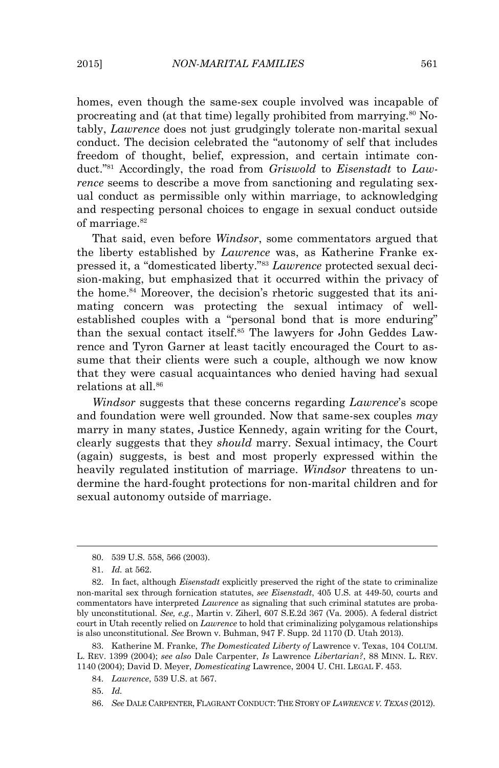homes, even though the same-sex couple involved was incapable of procreating and (at that time) legally prohibited from marrying.<sup>80</sup> Notably, *Lawrence* does not just grudgingly tolerate non-marital sexual conduct. The decision celebrated the "autonomy of self that includes freedom of thought, belief, expression, and certain intimate conduct."81 Accordingly, the road from *Griswold* to *Eisenstadt* to *Lawrence* seems to describe a move from sanctioning and regulating sexual conduct as permissible only within marriage, to acknowledging and respecting personal choices to engage in sexual conduct outside of marriage.<sup>82</sup>

 That said, even before *Windsor*, some commentators argued that the liberty established by *Lawrence* was, as Katherine Franke expressed it, a "domesticated liberty."<sup>83</sup> *Lawrence* protected sexual decision-making, but emphasized that it occurred within the privacy of the home.<sup>84</sup> Moreover, the decision's rhetoric suggested that its animating concern was protecting the sexual intimacy of wellestablished couples with a "personal bond that is more enduring" than the sexual contact itself.85 The lawyers for John Geddes Lawrence and Tyron Garner at least tacitly encouraged the Court to assume that their clients were such a couple, although we now know that they were casual acquaintances who denied having had sexual relations at all.<sup>86</sup>

 *Windsor* suggests that these concerns regarding *Lawrence*'s scope and foundation were well grounded. Now that same-sex couples *may* marry in many states, Justice Kennedy, again writing for the Court, clearly suggests that they *should* marry. Sexual intimacy, the Court (again) suggests, is best and most properly expressed within the heavily regulated institution of marriage. *Windsor* threatens to undermine the hard-fought protections for non-marital children and for sexual autonomy outside of marriage.

 $\overline{a}$ 

83. Katherine M. Franke, *The Domesticated Liberty of* Lawrence v. Texas, 104 COLUM. L. REV. 1399 (2004); *see also* Dale Carpenter, *Is* Lawrence *Libertarian?*, 88 MINN. L. REV. 1140 (2004); David D. Meyer, *Domesticating* Lawrence, 2004 U. CHI. LEGAL F. 453.

85. *Id.*

<sup>80. 539</sup> U.S. 558, 566 (2003).

<sup>81.</sup> *Id.* at 562.

<sup>82.</sup> In fact, although *Eisenstadt* explicitly preserved the right of the state to criminalize non-marital sex through fornication statutes, *see Eisenstadt*, 405 U.S. at 449-50, courts and commentators have interpreted *Lawrence* as signaling that such criminal statutes are probably unconstitutional. *See, e.g.*, Martin v. Ziherl, 607 S.E.2d 367 (Va. 2005). A federal district court in Utah recently relied on *Lawrence* to hold that criminalizing polygamous relationships is also unconstitutional. *See* Brown v. Buhman, 947 F. Supp. 2d 1170 (D. Utah 2013).

<sup>84.</sup> *Lawrence*, 539 U.S. at 567.

<sup>86.</sup> *See* DALE CARPENTER, FLAGRANT CONDUCT: THE STORY OF *LAWRENCE V.TEXAS* (2012).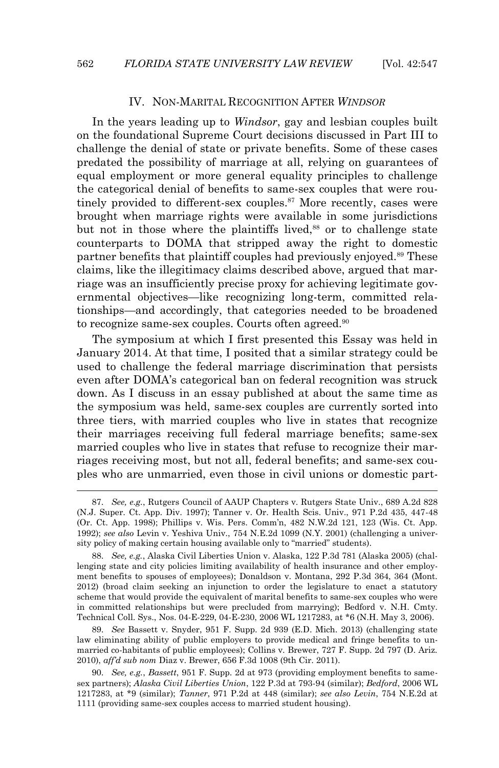#### IV. NON-MARITAL RECOGNITION AFTER *WINDSOR*

 In the years leading up to *Windsor*, gay and lesbian couples built on the foundational Supreme Court decisions discussed in Part III to challenge the denial of state or private benefits. Some of these cases predated the possibility of marriage at all, relying on guarantees of equal employment or more general equality principles to challenge the categorical denial of benefits to same-sex couples that were routinely provided to different-sex couples.<sup>87</sup> More recently, cases were brought when marriage rights were available in some jurisdictions but not in those where the plaintiffs lived,<sup>88</sup> or to challenge state counterparts to DOMA that stripped away the right to domestic partner benefits that plaintiff couples had previously enjoyed.<sup>89</sup> These claims, like the illegitimacy claims described above, argued that marriage was an insufficiently precise proxy for achieving legitimate governmental objectives—like recognizing long-term, committed relationships—and accordingly, that categories needed to be broadened to recognize same-sex couples. Courts often agreed.<sup>90</sup>

 The symposium at which I first presented this Essay was held in January 2014. At that time, I posited that a similar strategy could be used to challenge the federal marriage discrimination that persists even after DOMA's categorical ban on federal recognition was struck down. As I discuss in an essay published at about the same time as the symposium was held, same-sex couples are currently sorted into three tiers, with married couples who live in states that recognize their marriages receiving full federal marriage benefits; same-sex married couples who live in states that refuse to recognize their marriages receiving most, but not all, federal benefits; and same-sex couples who are unmarried, even those in civil unions or domestic part-

89. *See* Bassett v. Snyder, 951 F. Supp. 2d 939 (E.D. Mich. 2013) (challenging state law eliminating ability of public employers to provide medical and fringe benefits to unmarried co-habitants of public employees); Collins v. Brewer, 727 F. Supp. 2d 797 (D. Ariz. 2010), *aff'd sub nom* Diaz v. Brewer, 656 F.3d 1008 (9th Cir. 2011).

<sup>87.</sup> *See, e.g.*, Rutgers Council of AAUP Chapters v. Rutgers State Univ., 689 A.2d 828 (N.J. Super. Ct. App. Div. 1997); Tanner v. Or. Health Scis. Univ., 971 P.2d 435, 447-48 (Or. Ct. App. 1998); Phillips v. Wis. Pers. Comm'n, 482 N.W.2d 121, 123 (Wis. Ct. App. 1992); *see also* Levin v. Yeshiva Univ., 754 N.E.2d 1099 (N.Y. 2001) (challenging a university policy of making certain housing available only to "married" students).

<sup>88.</sup> *See, e.g.*, Alaska Civil Liberties Union v. Alaska, 122 P.3d 781 (Alaska 2005) (challenging state and city policies limiting availability of health insurance and other employment benefits to spouses of employees); Donaldson v. Montana, 292 P.3d 364, 364 (Mont. 2012) (broad claim seeking an injunction to order the legislature to enact a statutory scheme that would provide the equivalent of marital benefits to same-sex couples who were in committed relationships but were precluded from marrying); Bedford v. N.H. Cmty. Technical Coll. Sys., Nos. 04-E-229, 04-E-230, 2006 WL 1217283, at \*6 (N.H. May 3, 2006).

<sup>90.</sup> *See, e.g.*, *Bassett*, 951 F. Supp. 2d at 973 (providing employment benefits to samesex partners); *Alaska Civil Liberties Union*, 122 P.3d at 793-94 (similar); *Bedford*, 2006 WL 1217283, at \*9 (similar); *Tanner*, 971 P.2d at 448 (similar); *see also Levin*, 754 N.E.2d at 1111 (providing same-sex couples access to married student housing).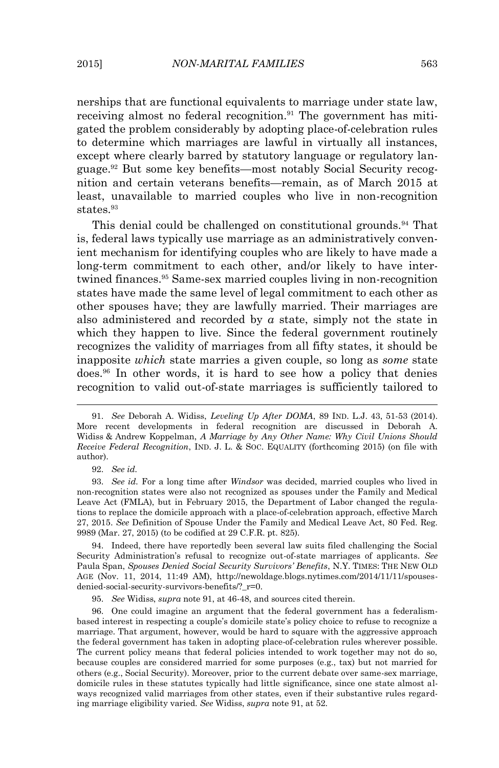nerships that are functional equivalents to marriage under state law, receiving almost no federal recognition.<sup>91</sup> The government has mitigated the problem considerably by adopting place-of-celebration rules to determine which marriages are lawful in virtually all instances, except where clearly barred by statutory language or regulatory language.92 But some key benefits—most notably Social Security recognition and certain veterans benefits—remain, as of March 2015 at least, unavailable to married couples who live in non-recognition  $states.<sup>93</sup>$ 

This denial could be challenged on constitutional grounds.<sup>94</sup> That is, federal laws typically use marriage as an administratively convenient mechanism for identifying couples who are likely to have made a long-term commitment to each other, and/or likely to have intertwined finances.95 Same-sex married couples living in non-recognition states have made the same level of legal commitment to each other as other spouses have; they are lawfully married. Their marriages are also administered and recorded by *a* state, simply not the state in which they happen to live. Since the federal government routinely recognizes the validity of marriages from all fifty states, it should be inapposite *which* state marries a given couple, so long as *some* state does.96 In other words, it is hard to see how a policy that denies recognition to valid out-of-state marriages is sufficiently tailored to

 $\overline{a}$ 

94. Indeed, there have reportedly been several law suits filed challenging the Social Security Administration's refusal to recognize out-of-state marriages of applicants. *See*  Paula Span, *Spouses Denied Social Security Survivors' Benefits*, N.Y. TIMES: THE NEW OLD AGE (Nov. 11, 2014, 11:49 AM), http://newoldage.blogs.nytimes.com/2014/11/11/spousesdenied-social-security-survivors-benefits/?\_r=0.

95. *See* Widiss, *supra* note 91, at 46-48, and sources cited therein.

96. One could imagine an argument that the federal government has a federalismbased interest in respecting a couple's domicile state's policy choice to refuse to recognize a marriage. That argument, however, would be hard to square with the aggressive approach the federal government has taken in adopting place-of-celebration rules wherever possible. The current policy means that federal policies intended to work together may not do so, because couples are considered married for some purposes (e.g., tax) but not married for others (e.g., Social Security). Moreover, prior to the current debate over same-sex marriage, domicile rules in these statutes typically had little significance, since one state almost always recognized valid marriages from other states, even if their substantive rules regarding marriage eligibility varied. *See* Widiss, *supra* note 91, at 52.

<sup>91.</sup> *See* Deborah A. Widiss, *Leveling Up After DOMA*, 89 IND. L.J. 43, 51-53 (2014). More recent developments in federal recognition are discussed in Deborah A. Widiss & Andrew Koppelman, *A Marriage by Any Other Name: Why Civil Unions Should Receive Federal Recognition*, IND. J. L. & SOC. EQUALITY (forthcoming 2015) (on file with author).

<sup>92.</sup> *See id.*

<sup>93.</sup> *See id.* For a long time after *Windsor* was decided, married couples who lived in non-recognition states were also not recognized as spouses under the Family and Medical Leave Act (FMLA), but in February 2015, the Department of Labor changed the regulations to replace the domicile approach with a place-of-celebration approach, effective March 27, 2015. *See* Definition of Spouse Under the Family and Medical Leave Act, 80 Fed. Reg. 9989 (Mar. 27, 2015) (to be codified at 29 C.F.R. pt. 825).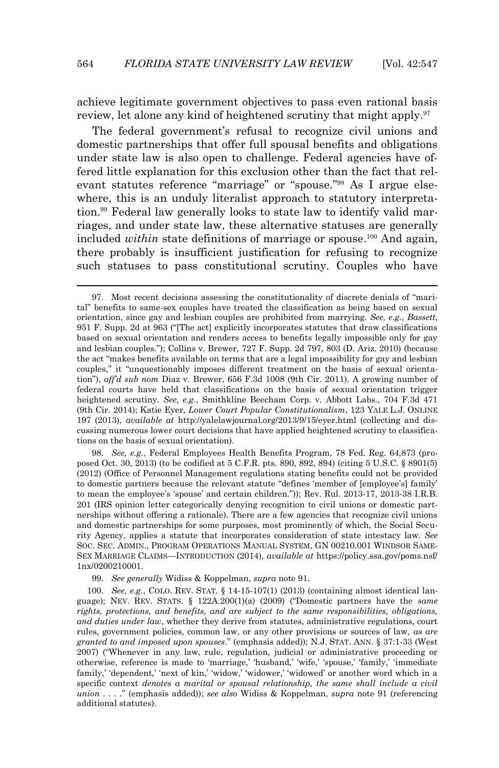achieve legitimate government objectives to pass even rational basis review, let alone any kind of heightened scrutiny that might apply.<sup>97</sup>

 The federal government's refusal to recognize civil unions and domestic partnerships that offer full spousal benefits and obligations under state law is also open to challenge. Federal agencies have offered little explanation for this exclusion other than the fact that relevant statutes reference "marriage" or "spouse."98 As I argue elsewhere, this is an unduly literalist approach to statutory interpretation.99 Federal law generally looks to state law to identify valid marriages, and under state law, these alternative statuses are generally included *within* state definitions of marriage or spouse.<sup>100</sup> And again, there probably is insufficient justification for refusing to recognize such statuses to pass constitutional scrutiny. Couples who have

98. *See, e.g.*, Federal Employees Health Benefits Program, 78 Fed. Reg. 64,873 (proposed Oct. 30, 2013) (to be codified at 5 C.F.R. pts. 890, 892, 894) (citing 5 U.S.C. § 8901(5) (2012) (Office of Personnel Management regulations stating benefits could not be provided to domestic partners because the relevant statute "defines 'member of [employee's] family' to mean the employee's 'spouse' and certain children.")); Rev. Rul. 2013-17, 2013-38 I.R.B. 201 (IRS opinion letter categorically denying recognition to civil unions or domestic partnerships without offering a rationale). There are a few agencies that recognize civil unions and domestic partnerships for some purposes, most prominently of which, the Social Security Agency, applies a statute that incorporates consideration of state intestacy law. *See*  SOC. SEC. ADMIN., PROGRAM OPERATIONS MANUAL SYSTEM, GN 00210.001 WINDSOR SAME-SEX MARRIAGE CLAIMS—INTRODUCTION (2014), *available at* https://policy.ssa.gov/poms.nsf/ 1nx/0200210001.

99. *See generally* Widiss & Koppelman, *supra* note 91.

 $\overline{a}$ 

100. *See, e.g.*, COLO. REV. STAT. § 14-15-107(1) (2013) (containing almost identical language); NEV. REV. STATS. § 122A.200(1)(a) (2009) ("Domestic partners have the *same rights, protections, and benefits, and are subject to the same responsibilities, obligations, and duties under law*, whether they derive from statutes, administrative regulations, court rules, government policies, common law, or any other provisions or sources of law, *as are granted to and imposed upon spouses*." (emphasis added)); N.J. STAT. ANN. § 37:1-33 (West 2007) ("Whenever in any law, rule, regulation, judicial or administrative proceeding or otherwise, reference is made to 'marriage,' 'husband,' 'wife,' 'spouse,' 'family,' 'immediate family,' 'dependent,' 'next of kin,' 'widow,' 'widower,' 'widowed' or another word which in a specific context *denotes a marital or spousal relationship, the same shall include a civil union* . . . ." (emphasis added)); *see also* Widiss & Koppelman, *supra* note 91 (referencing additional statutes).

<sup>97.</sup> Most recent decisions assessing the constitutionality of discrete denials of "marital" benefits to same-sex couples have treated the classification as being based on sexual orientation, since gay and lesbian couples are prohibited from marrying. *See, e.g.*, *Bassett*, 951 F. Supp. 2d at 963 ("[The act] explicitly incorporates statutes that draw classifications based on sexual orientation and renders access to benefits legally impossible only for gay and lesbian couples."); Collins v. Brewer*,* 727 F. Supp. 2d 797, 803 (D. Ariz. 2010) (because the act "makes benefits available on terms that are a legal impossibility for gay and lesbian couples," it "unquestionably imposes different treatment on the basis of sexual orientation"), *aff'd sub nom* Diaz v. Brewer, 656 F.3d 1008 (9th Cir. 2011). A growing number of federal courts have held that classifications on the basis of sexual orientation trigger heightened scrutiny. *See, e.g.*, Smithkline Beecham Corp. v. Abbott Labs., 704 F.3d 471 (9th Cir. 2014); Katie Eyer, *Lower Court Popular Constitutionalism*, 123 YALE L.J. ONLINE 197 (2013), *available at* http://yalelawjournal.org/2013/9/15/eyer.html (collecting and discussing numerous lower court decisions that have applied heightened scrutiny to classifications on the basis of sexual orientation).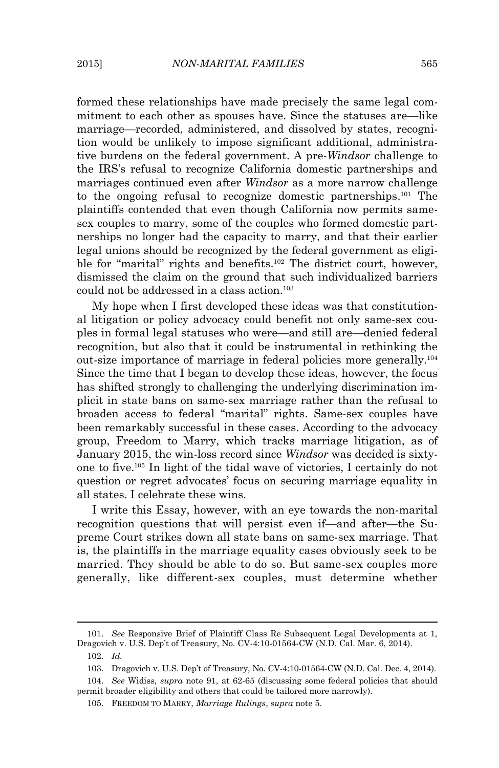formed these relationships have made precisely the same legal commitment to each other as spouses have. Since the statuses are—like marriage—recorded, administered, and dissolved by states, recognition would be unlikely to impose significant additional, administrative burdens on the federal government. A pre-*Windsor* challenge to the IRS's refusal to recognize California domestic partnerships and marriages continued even after *Windsor* as a more narrow challenge to the ongoing refusal to recognize domestic partnerships.101 The plaintiffs contended that even though California now permits samesex couples to marry, some of the couples who formed domestic partnerships no longer had the capacity to marry, and that their earlier legal unions should be recognized by the federal government as eligible for "marital" rights and benefits. <sup>102</sup> The district court, however, dismissed the claim on the ground that such individualized barriers could not be addressed in a class action.<sup>103</sup>

 My hope when I first developed these ideas was that constitutional litigation or policy advocacy could benefit not only same-sex couples in formal legal statuses who were—and still are—denied federal recognition, but also that it could be instrumental in rethinking the out-size importance of marriage in federal policies more generally.<sup>104</sup> Since the time that I began to develop these ideas, however, the focus has shifted strongly to challenging the underlying discrimination implicit in state bans on same-sex marriage rather than the refusal to broaden access to federal "marital" rights. Same-sex couples have been remarkably successful in these cases. According to the advocacy group, Freedom to Marry, which tracks marriage litigation, as of January 2015, the win-loss record since *Windsor* was decided is sixtyone to five.105 In light of the tidal wave of victories, I certainly do not question or regret advocates' focus on securing marriage equality in all states. I celebrate these wins.

 I write this Essay, however, with an eye towards the non-marital recognition questions that will persist even if—and after—the Supreme Court strikes down all state bans on same-sex marriage. That is, the plaintiffs in the marriage equality cases obviously seek to be married. They should be able to do so. But same-sex couples more generally, like different-sex couples, must determine whether

<sup>101.</sup> *See* Responsive Brief of Plaintiff Class Re Subsequent Legal Developments at 1, Dragovich v. U.S. Dep't of Treasury, No. CV-4:10-01564-CW (N.D. Cal. Mar. 6, 2014).

<sup>102.</sup> *Id.*

<sup>103.</sup> Dragovich v. U.S. Dep't of Treasury, No. CV-4:10-01564-CW (N.D. Cal. Dec. 4, 2014).

<sup>104.</sup> *See* Widiss, *supra* note 91, at 62-65 (discussing some federal policies that should permit broader eligibility and others that could be tailored more narrowly).

<sup>105.</sup> FREEDOM TO MARRY, *Marriage Rulings*, *supra* note 5.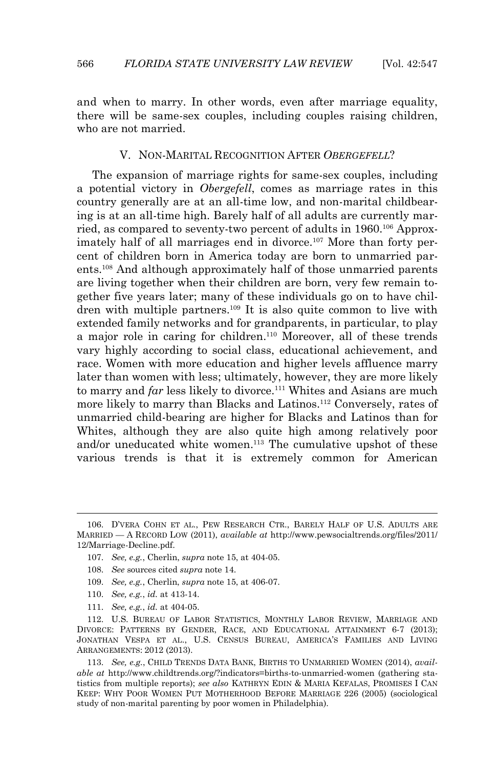and when to marry. In other words, even after marriage equality, there will be same-sex couples, including couples raising children, who are not married.

#### V. NON-MARITAL RECOGNITION AFTER *OBERGEFELL*?

 The expansion of marriage rights for same-sex couples, including a potential victory in *Obergefell*, comes as marriage rates in this country generally are at an all-time low, and non-marital childbearing is at an all-time high. Barely half of all adults are currently married, as compared to seventy-two percent of adults in 1960.<sup>106</sup> Approximately half of all marriages end in divorce.<sup>107</sup> More than forty percent of children born in America today are born to unmarried parents.108 And although approximately half of those unmarried parents are living together when their children are born, very few remain together five years later; many of these individuals go on to have children with multiple partners.<sup>109</sup> It is also quite common to live with extended family networks and for grandparents, in particular, to play a major role in caring for children.110 Moreover, all of these trends vary highly according to social class, educational achievement, and race. Women with more education and higher levels affluence marry later than women with less; ultimately, however, they are more likely to marry and *far* less likely to divorce.<sup>111</sup> Whites and Asians are much more likely to marry than Blacks and Latinos.112 Conversely, rates of unmarried child-bearing are higher for Blacks and Latinos than for Whites, although they are also quite high among relatively poor and/or uneducated white women.<sup>113</sup> The cumulative upshot of these various trends is that it is extremely common for American

<sup>106.</sup> D'VERA COHN ET AL., PEW RESEARCH CTR., BARELY HALF OF U.S. ADULTS ARE MARRIED — A RECORD LOW (2011), *available at* http://www.pewsocialtrends.org/files/2011/ 12/Marriage-Decline.pdf.

<sup>107.</sup> *See, e.g.*, Cherlin, *supra* note 15, at 404-05.

<sup>108.</sup> *See* sources cited *supra* note 14.

<sup>109.</sup> *See, e.g.*, Cherlin, *supra* note 15, at 406-07.

<sup>110.</sup> *See, e.g.*, *id.* at 413-14.

<sup>111.</sup> *See, e.g.*, *id.* at 404-05.

<sup>112.</sup> U.S. BUREAU OF LABOR STATISTICS, MONTHLY LABOR REVIEW, MARRIAGE AND DIVORCE: PATTERNS BY GENDER, RACE, AND EDUCATIONAL ATTAINMENT 6-7 (2013); JONATHAN VESPA ET AL., U.S. CENSUS BUREAU, AMERICA'S FAMILIES AND LIVING ARRANGEMENTS: 2012 (2013).

<sup>113.</sup> *See, e.g.*, CHILD TRENDS DATA BANK, BIRTHS TO UNMARRIED WOMEN (2014), *available at* http://www.childtrends.org/?indicators=births-to-unmarried-women (gathering statistics from multiple reports); *see also* KATHRYN EDIN & MARIA KEFALAS, PROMISES I CAN KEEP: WHY POOR WOMEN PUT MOTHERHOOD BEFORE MARRIAGE 226 (2005) (sociological study of non-marital parenting by poor women in Philadelphia).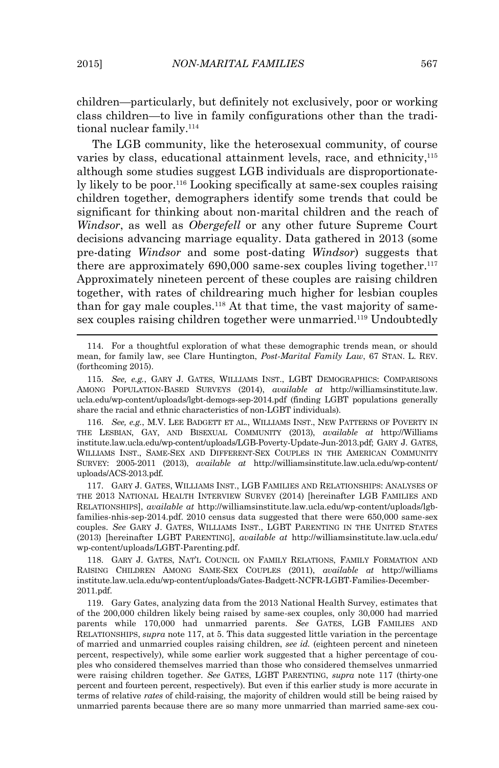children—particularly, but definitely not exclusively, poor or working class children—to live in family configurations other than the traditional nuclear family.<sup>114</sup>

 The LGB community, like the heterosexual community, of course varies by class, educational attainment levels, race, and ethnicity,<sup>115</sup> although some studies suggest LGB individuals are disproportionately likely to be poor.116 Looking specifically at same-sex couples raising children together, demographers identify some trends that could be significant for thinking about non-marital children and the reach of *Windsor*, as well as *Obergefell* or any other future Supreme Court decisions advancing marriage equality. Data gathered in 2013 (some pre-dating *Windsor* and some post-dating *Windsor*) suggests that there are approximately  $690,000$  same-sex couples living together.<sup>117</sup> Approximately nineteen percent of these couples are raising children together, with rates of childrearing much higher for lesbian couples than for gay male couples.<sup>118</sup> At that time, the vast majority of samesex couples raising children together were unmarried.<sup>119</sup> Undoubtedly

<sup>114.</sup> For a thoughtful exploration of what these demographic trends mean, or should mean, for family law, see Clare Huntington, *Post-Marital Family Law*, 67 STAN. L. REV. (forthcoming 2015).

<sup>115.</sup> *See, e.g.*, GARY J. GATES, WILLIAMS INST., LGBT DEMOGRAPHICS: COMPARISONS AMONG POPULATION-BASED SURVEYS (2014), *available at* http://williamsinstitute.law. ucla.edu/wp-content/uploads/lgbt-demogs-sep-2014.pdf (finding LGBT populations generally share the racial and ethnic characteristics of non-LGBT individuals).

<sup>116.</sup> *See, e.g.*, M.V. LEE BADGETT ET AL., WILLIAMS INST., NEW PATTERNS OF POVERTY IN THE LESBIAN, GAY, AND BISEXUAL COMMUNITY (2013), *available at* http://Williams institute.law.ucla.edu/wp-content/uploads/LGB-Poverty-Update-Jun-2013.pdf; GARY J. GATES, WILLIAMS INST., SAME-SEX AND DIFFERENT-SEX COUPLES IN THE AMERICAN COMMUNITY SURVEY: 2005-2011 (2013), *available at* http://williamsinstitute.law.ucla.edu/wp-content/ uploads/ACS-2013.pdf.

<sup>117.</sup> GARY J. GATES, WILLIAMS INST., LGB FAMILIES AND RELATIONSHIPS: ANALYSES OF THE 2013 NATIONAL HEALTH INTERVIEW SURVEY (2014) [hereinafter LGB FAMILIES AND RELATIONSHIPS], *available at* http://williamsinstitute.law.ucla.edu/wp-content/uploads/lgbfamilies-nhis-sep-2014.pdf. 2010 census data suggested that there were 650,000 same-sex couples. *See* GARY J. GATES, WILLIAMS INST., LGBT PARENTING IN THE UNITED STATES (2013) [hereinafter LGBT PARENTING], *available at* http://williamsinstitute.law.ucla.edu/ wp-content/uploads/LGBT-Parenting.pdf.

<sup>118.</sup> GARY J. GATES, NAT'L COUNCIL ON FAMILY RELATIONS, FAMILY FORMATION AND RAISING CHILDREN AMONG SAME-SEX COUPLES (2011), *available at* http://williams institute.law.ucla.edu/wp-content/uploads/Gates-Badgett-NCFR-LGBT-Families-December-2011.pdf.

<sup>119.</sup> Gary Gates, analyzing data from the 2013 National Health Survey, estimates that of the 200,000 children likely being raised by same-sex couples, only 30,000 had married parents while 170,000 had unmarried parents. *See* GATES, LGB FAMILIES AND RELATIONSHIPS, *supra* note 117, at 5. This data suggested little variation in the percentage of married and unmarried couples raising children, *see id.* (eighteen percent and nineteen percent, respectively)*,* while some earlier work suggested that a higher percentage of couples who considered themselves married than those who considered themselves unmarried were raising children together. *See* GATES, LGBT PARENTING, *supra* note 117 (thirty-one percent and fourteen percent, respectively). But even if this earlier study is more accurate in terms of relative *rates* of child-raising, the majority of children would still be being raised by unmarried parents because there are so many more unmarried than married same-sex cou-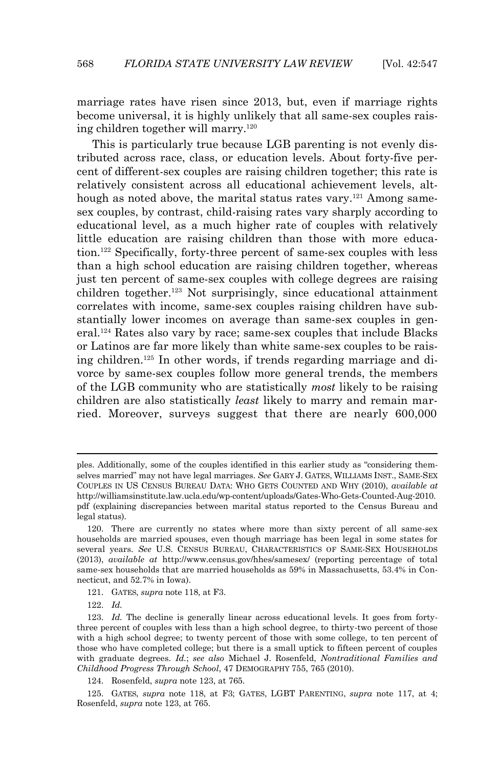marriage rates have risen since 2013, but, even if marriage rights become universal, it is highly unlikely that all same-sex couples raising children together will marry.<sup>120</sup>

 This is particularly true because LGB parenting is not evenly distributed across race, class, or education levels. About forty-five percent of different-sex couples are raising children together; this rate is relatively consistent across all educational achievement levels, although as noted above, the marital status rates vary.<sup>121</sup> Among samesex couples, by contrast, child-raising rates vary sharply according to educational level, as a much higher rate of couples with relatively little education are raising children than those with more education.122 Specifically, forty-three percent of same-sex couples with less than a high school education are raising children together, whereas just ten percent of same-sex couples with college degrees are raising children together.<sup>123</sup> Not surprisingly, since educational attainment correlates with income, same-sex couples raising children have substantially lower incomes on average than same-sex couples in general.124 Rates also vary by race; same-sex couples that include Blacks or Latinos are far more likely than white same-sex couples to be raising children.125 In other words, if trends regarding marriage and divorce by same-sex couples follow more general trends, the members of the LGB community who are statistically *most* likely to be raising children are also statistically *least* likely to marry and remain married. Moreover, surveys suggest that there are nearly 600,000

122. *Id.*

ples. Additionally, some of the couples identified in this earlier study as "considering themselves married" may not have legal marriages. *See* GARY J. GATES, WILLIAMS INST., SAME-SEX COUPLES IN US CENSUS BUREAU DATA: WHO GETS COUNTED AND WHY (2010), *available at* http://williamsinstitute.law.ucla.edu/wp-content/uploads/Gates-Who-Gets-Counted-Aug-2010. pdf (explaining discrepancies between marital status reported to the Census Bureau and legal status).

<sup>120.</sup> There are currently no states where more than sixty percent of all same-sex households are married spouses, even though marriage has been legal in some states for several years. *See* U.S. CENSUS BUREAU, CHARACTERISTICS OF SAME-SEX HOUSEHOLDS (2013), *available at* http://www.census.gov/hhes/samesex/ (reporting percentage of total same-sex households that are married households as 59% in Massachusetts, 53.4% in Connecticut, and 52.7% in Iowa).

<sup>121.</sup> GATES, *supra* note 118, at F3.

<sup>123.</sup> *Id.* The decline is generally linear across educational levels. It goes from fortythree percent of couples with less than a high school degree, to thirty-two percent of those with a high school degree; to twenty percent of those with some college, to ten percent of those who have completed college; but there is a small uptick to fifteen percent of couples with graduate degrees. *Id.*; *see also* Michael J. Rosenfeld, *Nontraditional Families and Childhood Progress Through School*, 47 DEMOGRAPHY 755, 765 (2010).

<sup>124.</sup> Rosenfeld, *supra* note 123, at 765.

<sup>125.</sup> GATES, *supra* note 118, at F3; GATES, LGBT PARENTING, *supra* note 117, at 4; Rosenfeld, *supra* note 123, at 765.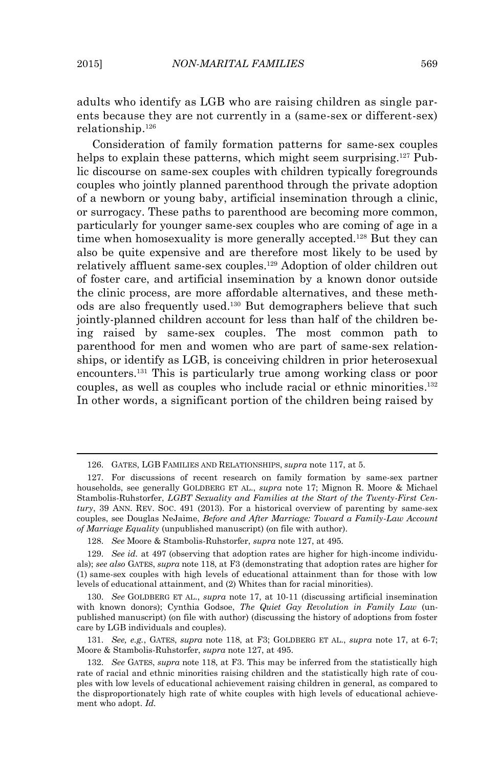$\overline{a}$ 

adults who identify as LGB who are raising children as single parents because they are not currently in a (same-sex or different-sex) relationship.<sup>126</sup>

 Consideration of family formation patterns for same-sex couples helps to explain these patterns, which might seem surprising.<sup>127</sup> Public discourse on same-sex couples with children typically foregrounds couples who jointly planned parenthood through the private adoption of a newborn or young baby, artificial insemination through a clinic, or surrogacy. These paths to parenthood are becoming more common, particularly for younger same-sex couples who are coming of age in a time when homosexuality is more generally accepted.<sup>128</sup> But they can also be quite expensive and are therefore most likely to be used by relatively affluent same-sex couples.129 Adoption of older children out of foster care, and artificial insemination by a known donor outside the clinic process, are more affordable alternatives, and these methods are also frequently used.130 But demographers believe that such jointly-planned children account for less than half of the children being raised by same-sex couples. The most common path to parenthood for men and women who are part of same-sex relationships, or identify as LGB, is conceiving children in prior heterosexual encounters.131 This is particularly true among working class or poor couples, as well as couples who include racial or ethnic minorities.<sup>132</sup> In other words, a significant portion of the children being raised by

131. *See, e.g.*, GATES, *supra* note 118, at F3; GOLDBERG ET AL., *supra* note 17, at 6-7; Moore & Stambolis-Ruhstorfer, *supra* note 127, at 495.

<sup>126.</sup> GATES, LGB FAMILIES AND RELATIONSHIPS, *supra* note 117, at 5.

<sup>127.</sup> For discussions of recent research on family formation by same-sex partner households, see generally GOLDBERG ET AL., *supra* note 17; Mignon R. Moore & Michael Stambolis-Ruhstorfer, *LGBT Sexuality and Families at the Start of the Twenty-First Century*, 39 ANN. REV. SOC. 491 (2013). For a historical overview of parenting by same-sex couples, see Douglas NeJaime, *Before and After Marriage: Toward a Family-Law Account of Marriage Equality* (unpublished manuscript) (on file with author).

<sup>128.</sup> *See* Moore & Stambolis-Ruhstorfer, *supra* note 127, at 495.

<sup>129.</sup> *See id.* at 497 (observing that adoption rates are higher for high-income individuals); *see also* GATES, *supra* note 118, at F3 (demonstrating that adoption rates are higher for (1) same-sex couples with high levels of educational attainment than for those with low levels of educational attainment, and (2) Whites than for racial minorities).

<sup>130.</sup> *See* GOLDBERG ET AL., *supra* note 17, at 10-11 (discussing artificial insemination with known donors); Cynthia Godsoe, *The Quiet Gay Revolution in Family Law* (unpublished manuscript) (on file with author) (discussing the history of adoptions from foster care by LGB individuals and couples).

<sup>132.</sup> *See* GATES, *supra* note 118, at F3. This may be inferred from the statistically high rate of racial and ethnic minorities raising children and the statistically high rate of couples with low levels of educational achievement raising children in general, as compared to the disproportionately high rate of white couples with high levels of educational achievement who adopt. *Id.*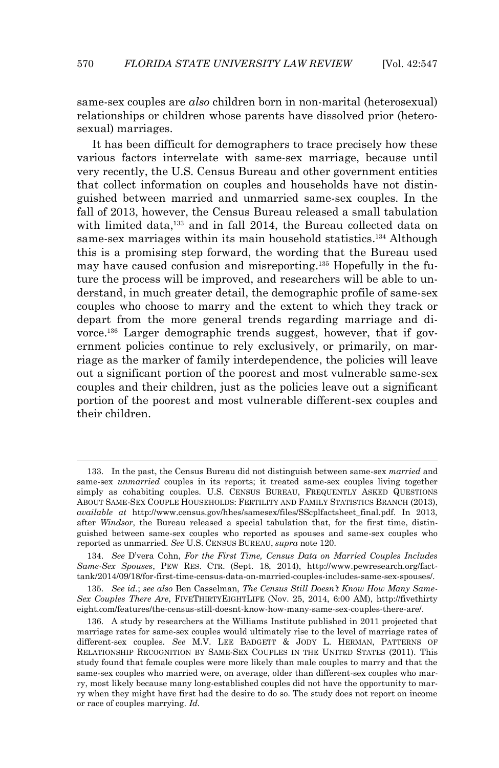same-sex couples are *also* children born in non-marital (heterosexual) relationships or children whose parents have dissolved prior (heterosexual) marriages.

 It has been difficult for demographers to trace precisely how these various factors interrelate with same-sex marriage, because until very recently, the U.S. Census Bureau and other government entities that collect information on couples and households have not distinguished between married and unmarried same-sex couples. In the fall of 2013, however, the Census Bureau released a small tabulation with limited data,<sup>133</sup> and in fall 2014, the Bureau collected data on same-sex marriages within its main household statistics.<sup>134</sup> Although this is a promising step forward, the wording that the Bureau used may have caused confusion and misreporting.135 Hopefully in the future the process will be improved, and researchers will be able to understand, in much greater detail, the demographic profile of same-sex couples who choose to marry and the extent to which they track or depart from the more general trends regarding marriage and divorce.136 Larger demographic trends suggest, however, that if government policies continue to rely exclusively, or primarily, on marriage as the marker of family interdependence, the policies will leave out a significant portion of the poorest and most vulnerable same-sex couples and their children, just as the policies leave out a significant portion of the poorest and most vulnerable different-sex couples and their children.

 $\overline{a}$ 

135. *See id.*; *see also* Ben Casselman, *The Census Still Doesn't Know How Many Same-Sex Couples There Are*, FIVETHIRTYEIGHTLIFE (Nov. 25, 2014, 6:00 AM), http://fivethirty eight.com/features/the-census-still-doesnt-know-how-many-same-sex-couples-there-are/.

<sup>133.</sup> In the past, the Census Bureau did not distinguish between same-sex *married* and same-sex *unmarried* couples in its reports; it treated same-sex couples living together simply as cohabiting couples. U.S. CENSUS BUREAU, FREQUENTLY ASKED QUESTIONS ABOUT SAME-SEX COUPLE HOUSEHOLDS: FERTILITY AND FAMILY STATISTICS BRANCH (2013), *available at* http://www.census.gov/hhes/samesex/files/SScplfactsheet\_final.pdf. In 2013, after *Windsor*, the Bureau released a special tabulation that, for the first time, distinguished between same-sex couples who reported as spouses and same-sex couples who reported as unmarried. *See* U.S. CENSUS BUREAU, *supra* note 120.

<sup>134.</sup> *See* D'vera Cohn, *For the First Time, Census Data on Married Couples Includes Same-Sex Spouses*, PEW RES. CTR. (Sept. 18, 2014), http://www.pewresearch.org/facttank/2014/09/18/for-first-time-census-data-on-married-couples-includes-same-sex-spouses/.

<sup>136.</sup> A study by researchers at the Williams Institute published in 2011 projected that marriage rates for same-sex couples would ultimately rise to the level of marriage rates of different-sex couples. *See* M.V. LEE BADGETT & JODY L. HERMAN, PATTERNS OF RELATIONSHIP RECOGNITION BY SAME-SEX COUPLES IN THE UNITED STATES (2011). This study found that female couples were more likely than male couples to marry and that the same-sex couples who married were, on average, older than different-sex couples who marry, most likely because many long-established couples did not have the opportunity to marry when they might have first had the desire to do so. The study does not report on income or race of couples marrying. *Id.*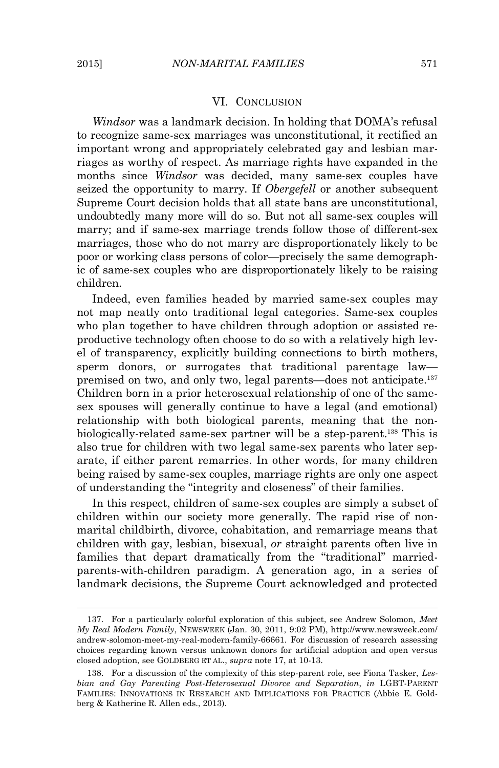$\overline{a}$ 

#### VI. CONCLUSION

 *Windsor* was a landmark decision. In holding that DOMA's refusal to recognize same-sex marriages was unconstitutional, it rectified an important wrong and appropriately celebrated gay and lesbian marriages as worthy of respect. As marriage rights have expanded in the months since *Windsor* was decided, many same-sex couples have seized the opportunity to marry. If *Obergefell* or another subsequent Supreme Court decision holds that all state bans are unconstitutional, undoubtedly many more will do so. But not all same-sex couples will marry; and if same-sex marriage trends follow those of different-sex marriages, those who do not marry are disproportionately likely to be poor or working class persons of color—precisely the same demographic of same-sex couples who are disproportionately likely to be raising children.

 Indeed, even families headed by married same-sex couples may not map neatly onto traditional legal categories. Same-sex couples who plan together to have children through adoption or assisted reproductive technology often choose to do so with a relatively high level of transparency, explicitly building connections to birth mothers, sperm donors, or surrogates that traditional parentage law premised on two, and only two, legal parents—does not anticipate.<sup>137</sup> Children born in a prior heterosexual relationship of one of the samesex spouses will generally continue to have a legal (and emotional) relationship with both biological parents, meaning that the nonbiologically-related same-sex partner will be a step-parent.138 This is also true for children with two legal same-sex parents who later separate, if either parent remarries. In other words, for many children being raised by same-sex couples, marriage rights are only one aspect of understanding the "integrity and closeness" of their families.

 In this respect, children of same-sex couples are simply a subset of children within our society more generally. The rapid rise of nonmarital childbirth, divorce, cohabitation, and remarriage means that children with gay, lesbian, bisexual, *or* straight parents often live in families that depart dramatically from the "traditional" marriedparents-with-children paradigm. A generation ago, in a series of landmark decisions, the Supreme Court acknowledged and protected

<sup>137.</sup> For a particularly colorful exploration of this subject, see Andrew Solomon, *Meet My Real Modern Family*, NEWSWEEK (Jan. 30, 2011, 9:02 PM), http://www.newsweek.com/ andrew-solomon-meet-my-real-modern-family-66661. For discussion of research assessing choices regarding known versus unknown donors for artificial adoption and open versus closed adoption, see GOLDBERG ET AL., *supra* note 17, at 10-13.

<sup>138.</sup> For a discussion of the complexity of this step-parent role, see Fiona Tasker, *Lesbian and Gay Parenting Post-Heterosexual Divorce and Separation*, *in* LGBT-PARENT FAMILIES: INNOVATIONS IN RESEARCH AND IMPLICATIONS FOR PRACTICE (Abbie E. Goldberg & Katherine R. Allen eds., 2013).